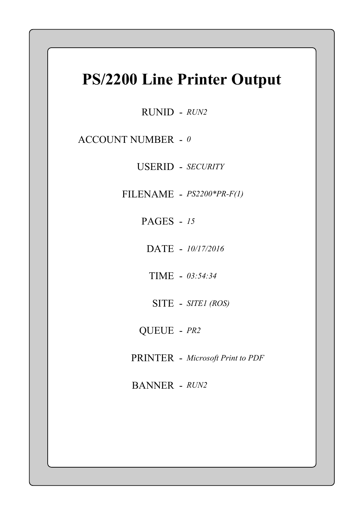## PS/2200 Line Printer Output

RUNID - RUN2

ACCOUNT NUMBER -  $\theta$ 

USERID - SECURITY

FILENAME - PS2200\*PR-F(1)

PAGES - 15

DATE - 10/17/2016

TIME - 03:54:34

SITE - SITEI (ROS)

QUEUE - PR2

PRINTER - Microsoft Print to PDF

BANNER - RUN2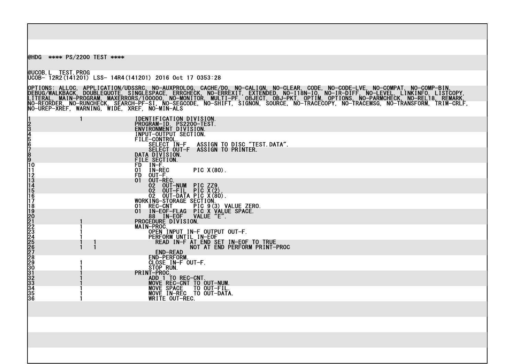@HDG \*\*\*\* PS/2200 TEST \*\*\*\*

@UCOB,L TEST.PROG UCOB- 12R2(141201) LSS- 14R4(141201) 2016 Oct 17 0353:28  $\frac{1}{2}$ 

OPTIONS: ALLOC, APPLICATION/UDSSRC, NO-AUXPROLOG, CACHE/D0, NO-CALIGN, NO-CLEAR, CODE, NO-CODE-LVE, NO-COMPAT, NO-COMP-BIN, DEBUG/WALKBACK, DOUBLEQUOTE, SINGLESPACE, ERRCHECK, NO-ERREXIT, EXTENDED, NO-I18N-IO, NO-IR-DIFF, NO-LEVEL, LINKINFO, LISTCOPY, LITERAL, MAIN-PROGRAM, MAXERRORS/100000, NO-MONITOR, MULTI-PF, OBJECT, OBJ-PKT, OPTIM, OPTIONS, NO-PARMCHECK, NO-REL18, REMARK, NO-REORDER, NO-RUNCHECK, SEARCH-PF-SI, NO-SEGCODE, NO-SHIFT, SIGNON, SOURCE, NO-TRACECOPY, NO-TRACEMSG, NO-TRANSFORM, TRIM-CRLF, NO-UREP-XREF, WARNING, WIDE, XREF, NO-MIN-ALS <u>ma</u>

|                                                 | <b>IDENTIFICATION DIVISION.<br/>PROGRAM-ID. PS2200-TEST.<br/>ENVIRONMENT DIVISION.<br/>INPUT-OUTPUT SECTION.<br/>FILE-CONTROL</b>                                                                        |
|-------------------------------------------------|----------------------------------------------------------------------------------------------------------------------------------------------------------------------------------------------------------|
|                                                 | SELECT IN-F<br>ASSIGN TO DISC "TEST. DATA".                                                                                                                                                              |
| 12345678911111111111222222222223333333333333556 | SELECT OUT-F<br>ASSIGN TO PRINTER.<br>DATA DIVISION.                                                                                                                                                     |
|                                                 | FILE SECTION.<br>FD IN-F.<br>IN-REC<br>PIC X(80).<br>01<br>OUT-F.<br><b>FD</b>                                                                                                                           |
|                                                 | OUT-REC.<br>01<br>02<br>OUT-NUM PIC ZZ9<br>OUT-FIL PIC X(2)<br>OUT-DATA PIC X(80).<br>$0\overline{2}$                                                                                                    |
|                                                 | 02 UUL<br>02 OUT-DÂTA PIU ANUVA<br>WORKING-STORAGE SECTION.<br>01 REC-CNT PIC 9(3) VALUE ZERO.<br>01 IN-EOF-FLAG PIC X VALUE SPACE.                                                                      |
|                                                 | B8 TN-EOF VA                                                                                                                                                                                             |
|                                                 | MAIN-PROC.<br>OPEN INPUT IN-F OUTPUT OUT-F.<br>PERFORM UNTIL IN-EOF                                                                                                                                      |
|                                                 | READ IN-FAT END SET IN-EOF TO TRUE<br>NOT AT END PERFORM PRINT-PROC<br><b>END-READ</b>                                                                                                                   |
|                                                 | <b>END-PERFORM.</b>                                                                                                                                                                                      |
|                                                 |                                                                                                                                                                                                          |
|                                                 | END-PERFURM<br>CLOSE IN-FOUT-F.<br>STOP RUN.<br>PRINT-PROC.<br>MOVE REC-CNT TO OUT-NUM.<br>MOVE SPACE TO OUT-FIL.<br>MOVE SPACE TO OUT-FIL.<br>MOVE IN-REC TO OUT-DATA<br>WRITE OUT-REC.<br>TO OUT-DATA. |
|                                                 |                                                                                                                                                                                                          |
|                                                 |                                                                                                                                                                                                          |
|                                                 |                                                                                                                                                                                                          |
|                                                 |                                                                                                                                                                                                          |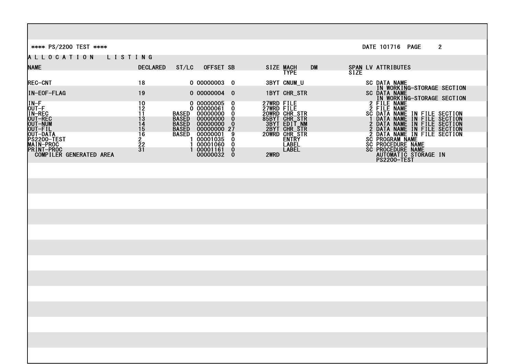\*\*\*\* PS/2200 TEST \*\*\*\* DATE 101716 PAGE 2 A L L O C A T I O N L I S T I N G **NAME** DECLARED ST/LC OFFSET SB SIZE MACH DM SPAN LV ATTRIBUTES  $\frac{1}{2}$   $\frac{1}{2}$   $\frac{1}{2}$   $\frac{1}{2}$   $\frac{1}{2}$   $\frac{1}{2}$   $\frac{1}{2}$   $\frac{1}{2}$   $\frac{1}{2}$   $\frac{1}{2}$   $\frac{1}{2}$   $\frac{1}{2}$   $\frac{1}{2}$   $\frac{1}{2}$   $\frac{1}{2}$   $\frac{1}{2}$   $\frac{1}{2}$   $\frac{1}{2}$   $\frac{1}{2}$   $\frac{1}{2}$   $\frac{1}{2}$   $\frac{1}{2}$  **REC-CNT** REC-CNT 18 0 00000003 0 3BYT CNUM\_U SC DATA NAME IN WORKING-STORAGE SECTION IN-EOF-FLAG 19 0 00000004 0 1BYT CHR\_STR SC DATA NAME IN THE RESERVE OF THE RESERVE OF THE RESERVE OF THE RESERVE OF THE RESERVE OF THE RESERVE OF THE RESERVE OF THE RESERVE OF THE RESERVE OF THE RESERVE OF THE RESERVE OF THE RESERVE OF THE RESERVE OF THE RESERVE OF THE RESER IN-F 2 FILE NAME 2 OUT-F 2 FILE NAME 2 2 ANNO 200000061 0 27WRD FILE 2 2000 2 FILE NAME <u>IN-REC 11 BASED QOOOOOO OO ZOWRD CHR\_STR SC DATA NAME IN FILE SECTION SC DATA NAME IN SECTION SC DATA NAME IN SECTION SC DATA NAME IN SECTION SC DATA NAME IN SECTION SC DATA NAME IN SECTION SC DATA NAME IN SECTION SC DATA</u> OUT-REC 13 BASED 00000000 0 85BYT CHR\_STR 1 DATA NAME IN FILE SECTION OUT-NUM 14 BASED 00000000 0 3BYT EDIT\_NM 2 DATA NAME IN FILE SECTION OUT-FIL 15 BASED 00000000 27 2BYT CHR\_STR 2 DATA NAME IN FILE SECTION OUT-DATA 16 BASED 00000001 9 20WRD CHR\_STR 2 DATA NAME IN FILE SECTION PS2200-TEST 2 1 00001035 0 ENTRY SC PROGRAM NAME MAIN-PROC 1 22 1 00001060 0 LABEL SC PROCEDURE NAME PRINT-PROC \_\_\_\_\_\_\_\_\_\_ \_\_\_ 31 1 00001161 0 LABEL SC PROCEDURE NAME COMPILER GENERATED AREA 00000032 0 2WRD AUTOMATIC STORAGE IN PS2200-TEST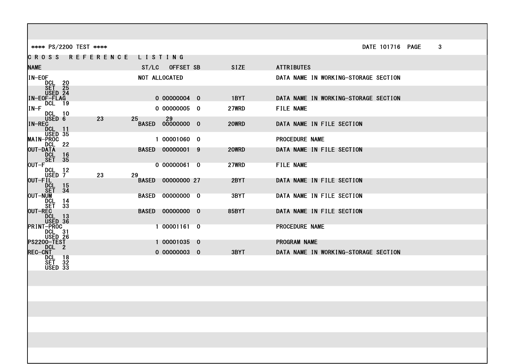| **** PS/2200 TEST ****                                              |                        |         |                         |              | DATE 101716 PAGE                     | 3 |
|---------------------------------------------------------------------|------------------------|---------|-------------------------|--------------|--------------------------------------|---|
|                                                                     | <b>CROSS REFERENCE</b> | LISTING |                         |              |                                      |   |
| <b>NAME</b>                                                         |                        |         | ST/LC OFFSET SB         | <b>SIZE</b>  | <b>ATTRIBUTES</b>                    |   |
| IN-EOF<br>DCL 20                                                    |                        |         | <b>NOT ALLOCATED</b>    |              | DATA NAME IN WORKING-STORAGE SECTION |   |
| SET 25<br>USED 24<br><b>IN-EOF-FLAG</b>                             |                        |         | 0 00000004 0            | 1BYT         | DATA NAME IN WORKING-STORAGE SECTION |   |
| <b>DCL</b> 19<br>$IN-F$<br><b>DCL 10</b>                            |                        |         | 0 00000005 0            | 27WRD        | <b>FILE NAME</b>                     |   |
| USED 6<br>IN-REC<br><b>DCL</b><br>- 11                              | 23                     | 25      | 5<br>BASED 00000000 0   | 20WRD        | DATA NAME IN FILE SECTION            |   |
| USED 35<br><b>MAIN-PROC</b><br><b>DCL 22</b>                        |                        |         | 1 00001060 0            |              | <b>PROCEDURE NAME</b>                |   |
| <b>OUT-DATA</b><br>DCL<br>- 16<br>SET 35                            |                        |         | BASED 00000001 9        | 20WRD        | DATA NAME IN FILE SECTION            |   |
| $OUT-F$<br><b>DCL 12</b><br>USED 7                                  | 23                     | 29      | 0 00000061 0            | <b>27WRD</b> | <b>FILE NAME</b>                     |   |
| OUT-FIL<br>DCL<br>Set<br>$\frac{15}{34}$                            |                        |         | BASED 00000000 27       | 2BYT         | DATA NAME IN FILE SECTION            |   |
| <b>OUT-NUM</b><br>DCL.<br>- 14<br><b>SET 33</b>                     |                        |         | BASED 00000000 0        | 3BYT         | DATA NAME IN FILE SECTION            |   |
| OUT-REC<br>DCL.<br>- 13<br>USED 36                                  |                        |         | <b>BASED 00000000 0</b> | 85BYT        | DATA NAME IN FILE SECTION            |   |
| <b>PRINT-PROC</b><br>DCL 31<br>USED 26                              |                        |         | 1 00001161 0            |              | <b>PROCEDURE NAME</b>                |   |
| PS2200-TEST<br>DCL 2                                                |                        |         | 1 00001035 0            |              | <b>PROGRAM NAME</b>                  |   |
| <b>REC-CNT</b>                                                      |                        |         | 0 00000003 0            | 3BYT         | DATA NAME IN WORKING-STORAGE SECTION |   |
| <b>DCL 18</b><br>$SE\overline{I}$ 32<br>$\overline{U\text{SED}}$ 33 |                        |         |                         |              |                                      |   |
|                                                                     |                        |         |                         |              |                                      |   |
|                                                                     |                        |         |                         |              |                                      |   |
|                                                                     |                        |         |                         |              |                                      |   |
|                                                                     |                        |         |                         |              |                                      |   |
|                                                                     |                        |         |                         |              |                                      |   |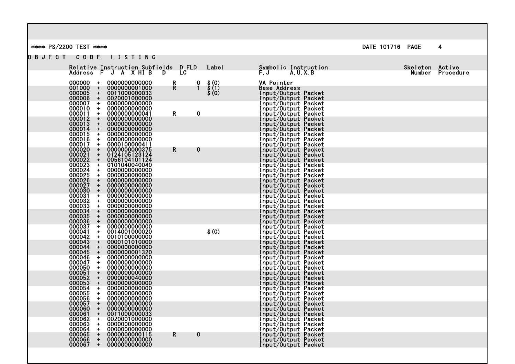\*\*\*\* PS/2200 TEST \*\*\*\* 2008 A 2008 2009 2009 2012 2020 2020 2030 2041 2042 205 206 207 208 208 209 2009 2012 20

O B J E C T C O D E L I S T I N G

|                                                                 | Relative Instruction Subfields D FLD |         | ⊟ Labe I                                                                       | Symbolic Instruction                       | Skeleton Active |                  |
|-----------------------------------------------------------------|--------------------------------------|---------|--------------------------------------------------------------------------------|--------------------------------------------|-----------------|------------------|
|                                                                 | Address F J A X HI B D               | LC      |                                                                                | $F, J$ A, U, X, B                          |                 | Number Procedure |
| 000000<br>$+$                                                   | 0000000000000                        | R       |                                                                                | VA Pointer                                 |                 |                  |
| 001000<br>$+$<br>$000005 +$                                     | 0000000001000<br>0011000000033       | R.      | $\begin{array}{cc} 0 & 1 \\ 0 & 0 \\ 1 & 0 \\ 0 & 0 \end{array}$<br>(1)<br>(0) | <b>Base Address</b>                        |                 |                  |
| 000006<br>$+$                                                   | 0020001000000                        |         |                                                                                | Input/Output Packet<br>Input/Output Packet |                 |                  |
| $000007 +$<br>000010                                            | 0000000000000                        |         |                                                                                | Input/Output Packet                        |                 |                  |
| $+$<br>000011<br>$+$                                            | 0000000000000<br>0000000000041       | R<br>0  |                                                                                | Input/Output Packet<br>Input/Output Packet |                 |                  |
| 000012<br>$+$                                                   | 0000000000000                        |         |                                                                                | Input/Output Packet                        |                 |                  |
| 000013<br>$+$<br>$+$                                            | 0000000000000<br>0000000000000       |         |                                                                                | Input/Output Packet<br>Input/Output Packet |                 |                  |
| 000014<br>000015<br>$+$                                         | 0000000000000                        |         |                                                                                | Input/Output Packet                        |                 |                  |
| $000016 +$<br>000017<br>$+$                                     | 0000000000000<br>0000100000411       |         |                                                                                | Input/Output Packet<br>Input/Output Packet |                 |                  |
| 000020<br>000021<br>$\pm$                                       | 0000000000375                        | 0<br>R. |                                                                                | Input/Output Packet                        |                 |                  |
| $+$<br>$+$                                                      | 0124105123124<br>0056104101124       |         |                                                                                | Input/Output Packet<br>Input/Output Packet |                 |                  |
| $+$                                                             | 0101040040040                        |         |                                                                                | Input/Output Packet                        |                 |                  |
| $+$<br>$+$                                                      | 0000000000000<br>0000000000000       |         |                                                                                | Input/Output Packet<br>Input/Output Packet |                 |                  |
| 000021<br>000022<br>000023<br>000025<br>000026<br>000027<br>$+$ | 0000000000000                        |         |                                                                                | Input/Output Packet                        |                 |                  |
| $+$<br>$+$                                                      | 0000000000000<br>0000000000000       |         |                                                                                | Input/Output Packet<br>Input/Output Packet |                 |                  |
| $+$                                                             | 0000000000000                        |         |                                                                                | Input/Output Packet                        |                 |                  |
| $+$<br>$+$                                                      | 0000000000000<br>0000000000000       |         |                                                                                | Input/Output Packet                        |                 |                  |
| 000030<br>000031<br>000032<br>000033<br>000034<br>000035<br>$+$ | 0000000000000                        |         |                                                                                | Input/Output Packet<br>Input/Output Packet |                 |                  |
| $+$                                                             | 0000000000000                        |         |                                                                                | Input/Output Packet                        |                 |                  |
| 000036<br>$+$<br>000037<br>$+$                                  | 0000000000000<br>0000000000000       |         |                                                                                | Input/Output Packet<br>Input/Output Packet |                 |                  |
| 000041<br>$+$                                                   | 0014001000020                        |         | \$(0)                                                                          | Input/Output Packet                        |                 |                  |
| 000042<br>$+$<br>000043<br>$+$                                  | 0010100000000<br>0000101010000       |         |                                                                                | Input/Output Packet<br>Input/Output Packet |                 |                  |
| 000044<br>$+$                                                   | 0000000000000                        |         |                                                                                | Input/Output Packet                        |                 |                  |
| 000045<br>$\pm$<br>000046<br>$+$                                | 0000000001320<br>0000000000000       |         |                                                                                | Input/Output Packet<br>Input/Output Packet |                 |                  |
| 000047<br>$+$                                                   | 0000000000000                        |         |                                                                                | Input/Output Packet                        |                 |                  |
| 000050<br>000051<br>000052<br>$+$<br>$+$                        | 0000000000000<br>0000000000000       |         |                                                                                | Input/Output Packet<br>Input/Output Packet |                 |                  |
| $+$                                                             | 0000000040000                        |         |                                                                                | Input/Output Packet                        |                 |                  |
| 000053<br>000054<br>$+$<br>$+$                                  | 0000000000000<br>0000000000000       |         |                                                                                | Input/Output Packet<br>Input/Output Packet |                 |                  |
| 000055<br>$+$                                                   | 0000000000000                        |         |                                                                                | Input/Output Packet                        |                 |                  |
| 000056<br>$\ddot{}$<br>000057<br>$+$                            | 0000000000000<br>0000000000000       |         |                                                                                | Input/Output Packet<br>Input/Output Packet |                 |                  |
| 000060<br>$+$                                                   | 0000000000000                        |         |                                                                                | Input/Output Packet                        |                 |                  |
| 000061<br>$\ddot{}$<br>000062<br>$+$                            | 0011000000033<br>0020001000000       |         |                                                                                | Input/Output Packet<br>Input/Output Packet |                 |                  |
| 000063<br>$\ddot{\phantom{1}}$                                  | 0000000000000                        |         |                                                                                | Input/Output Packet                        |                 |                  |
| $000064 +$<br>$+$                                               | 0000000000000                        |         |                                                                                | Input/Output Packet                        |                 |                  |
| 000065<br>000066 +                                              | 0000000000115<br>0000000000000       | R.<br>0 |                                                                                | Input/Output Packet<br>Input/Output Packet |                 |                  |
| 000067 +                                                        | 0000000000000                        |         |                                                                                | Input/Output Packet                        |                 |                  |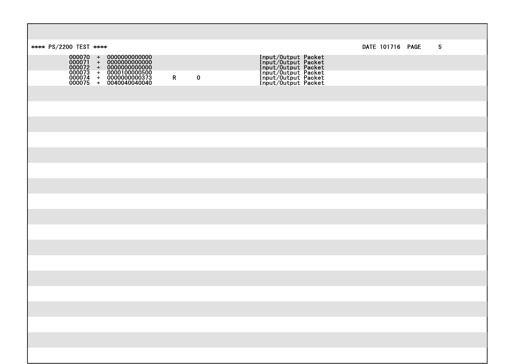| **** PS/2200 TEST ****                                                                                                                                                                                                 |                             |                                                                                                                                                   | DATE 101716 PAGE | $5\phantom{.0}$ |
|------------------------------------------------------------------------------------------------------------------------------------------------------------------------------------------------------------------------|-----------------------------|---------------------------------------------------------------------------------------------------------------------------------------------------|------------------|-----------------|
| $\begin{array}{cccc} 000070 & + & 00000000000000 \\ 000071 & + & 00000000000000 \\ 000072 & + & 00000000000000 \\ 000073 & + & 00001000000500 \\ 000074 & + & 0000000000373 \\ 000075 & + & 0040040040040 \end{array}$ |                             | <b>Input/Output Packet<br/>Input/Output Packet<br/>Input/Output Packet<br/>Input/Output Packet<br/>Input/Output Packet</b><br>Input/Output Packet |                  |                 |
|                                                                                                                                                                                                                        | $\mathbf{R}$<br>$\mathbf 0$ |                                                                                                                                                   |                  |                 |
|                                                                                                                                                                                                                        |                             |                                                                                                                                                   |                  |                 |
|                                                                                                                                                                                                                        |                             |                                                                                                                                                   |                  |                 |
|                                                                                                                                                                                                                        |                             |                                                                                                                                                   |                  |                 |
|                                                                                                                                                                                                                        |                             |                                                                                                                                                   |                  |                 |
|                                                                                                                                                                                                                        |                             |                                                                                                                                                   |                  |                 |
|                                                                                                                                                                                                                        |                             |                                                                                                                                                   |                  |                 |
|                                                                                                                                                                                                                        |                             |                                                                                                                                                   |                  |                 |
|                                                                                                                                                                                                                        |                             |                                                                                                                                                   |                  |                 |
|                                                                                                                                                                                                                        |                             |                                                                                                                                                   |                  |                 |
|                                                                                                                                                                                                                        |                             |                                                                                                                                                   |                  |                 |
|                                                                                                                                                                                                                        |                             |                                                                                                                                                   |                  |                 |
|                                                                                                                                                                                                                        |                             |                                                                                                                                                   |                  |                 |
|                                                                                                                                                                                                                        |                             |                                                                                                                                                   |                  |                 |
|                                                                                                                                                                                                                        |                             |                                                                                                                                                   |                  |                 |
|                                                                                                                                                                                                                        |                             |                                                                                                                                                   |                  |                 |
|                                                                                                                                                                                                                        |                             |                                                                                                                                                   |                  |                 |
|                                                                                                                                                                                                                        |                             |                                                                                                                                                   |                  |                 |
|                                                                                                                                                                                                                        |                             |                                                                                                                                                   |                  |                 |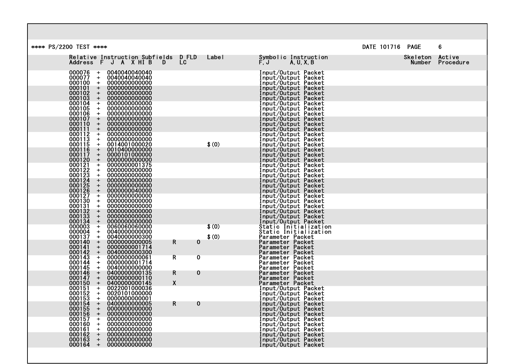| **** PS/2200 TEST ****                                                                                                                                         |                      |                                                                                          | DATE 101716 PAGE   | 6                   |
|----------------------------------------------------------------------------------------------------------------------------------------------------------------|----------------------|------------------------------------------------------------------------------------------|--------------------|---------------------|
| Relative Instruction Subfields<br>Address F J A X HI B D                                                                                                       | D FLD<br>Label<br>LC | Symbolic Instruction<br>$F, J$ $A, U, X, B$                                              | Skeleton<br>Number | Active<br>Procedure |
| 000076<br>0040040040040<br>$+$<br>000077<br>0040040040040<br>$\ddot{}$<br>000100<br>0000000000000<br>$\ddot{}$                                                 |                      | Input/Output Packet<br>Input/Output Packet<br>Input/Output Packet                        |                    |                     |
| 000101<br>$+$<br>0000000000000<br>000102<br>$+$<br>0000000000000<br>000103<br>0000000000000<br>$\pm$                                                           |                      | Input/Output Packet<br>Input/Output Packet<br>Input/Output Packet                        |                    |                     |
| 000104<br>0000000000000<br>$+$<br>0000000000000<br>$+$<br>$+$                                                                                                  |                      | Input/Output Packet<br>Input/Output Packet                                               |                    |                     |
| 000106<br>0000000000000<br>000107<br>$+$<br>0000000000000<br>000110<br>0000000000000<br>$\pm$                                                                  |                      | Input/Output Packet<br>Input/Output Packet<br>Input/Output Packet                        |                    |                     |
| 000111<br>0000000000000<br>$+$<br>000112<br>000113<br>0000000000000<br>$+$<br>$\ddot{}$<br>0000000000000                                                       |                      | Input/Output Packet<br>Input/Output Packet<br>Input/Output Packet                        |                    |                     |
| 000115<br>0014001000020<br>$+$<br>000116<br>0010400000000<br>$+$<br>000117<br>$\ddot{}$<br>0000101000000                                                       | \$(0)                | Input/Output Packet<br>Input/Output Packet<br>Input/Output Packet                        |                    |                     |
| 0000000000000<br>$+$<br>0000000001375<br>$+$<br>0000000000000<br>$\ddotmark$                                                                                   |                      | Input/Output Packet<br>Input/Output Packet<br>Input/Output Packet                        |                    |                     |
| 0001217000121<br>000121<br>000123<br>000123<br>000125<br>000126<br>0001270<br>000139<br>$\pm$<br>0000000000000<br>0000000000000<br>$+$<br>0000000000000<br>$+$ |                      | Input/Output Packet<br>Input/Output Packet<br>Input/Output Packet                        |                    |                     |
| $+$<br>0000000040000<br>0000000000000<br>$+$<br>0000000000000<br>$\ddot{\phantom{1}}$                                                                          |                      | Input/Output Packet<br>Input/Output Packet<br>Input/Output Packet                        |                    |                     |
| 000131<br>0000000000000<br>$+$<br>000132<br>$+$<br>0000000000000<br>000133<br>0000000000000<br>$+$                                                             |                      | Input/Output Packet<br>Input/Output Packet<br>Input/Output Packet                        |                    |                     |
| 000134<br>0000000000000<br>$+$<br>000003<br>0060060060000<br>$+$<br>000004<br>0040000000000<br>$+$                                                             | \$(0)                | Input/Output Packet<br>Static Initialization<br>Static Initialization                    |                    |                     |
| 000137<br>0040000000300<br>$+$<br>000140<br>0000000000005<br>$+$<br>000141<br>0000000001714<br>$+$                                                             | \$(0)<br>0<br>R      | Parameter Packet<br>Parameter Packet<br>Parameter Packet                                 |                    |                     |
| 000142<br>$\pm$<br>0040000000300<br>000143<br>000144<br>0000000000061<br>$+$<br>$+$<br>0000000001714                                                           | 0<br>R               | Parameter Packet<br>Parameter Packet<br>Parameter Packet                                 |                    |                     |
| 000145<br>$+$<br>0040000000000<br>000146<br>0400000000135<br>$+$<br>$+$<br>0000000000110                                                                       | R<br>0               | Parameter Packet<br>Parameter Packet<br>Parameter Packet                                 |                    |                     |
| 000147<br>000150<br>000151<br>000152<br>0400000000145<br>$+$<br>0022001000036<br>$+$<br>0020101000000<br>$+$                                                   | X                    | Parameter Packet<br>Input/Output Packet                                                  |                    |                     |
| 000153<br>0000000000001<br>$\ddot{}$<br>000154<br>$+$<br>0400000000005<br>000155<br>0000000000000<br>$+$                                                       | 0<br>R.              | Input/Output Packet<br>Input/Output Packet<br>Input/Output Packet<br>Input/Output Packet |                    |                     |
| 000156<br>0000000000000<br>$+$<br>000157<br>0000000000000<br>$+$<br>000160<br>0000000000000<br>$\ddot{}$                                                       |                      | Input/Output Packet<br>Input/Output Packet<br>Input/Output Packet                        |                    |                     |
| 000161<br>0000000000000<br>$+$<br>000162<br>0000000000000<br>$+$<br>000163<br>$+$<br>0000000000000                                                             |                      | Input/Output Packet<br>Input/Output Packet                                               |                    |                     |
| 000164<br>$+$<br>0000000000000                                                                                                                                 |                      | Input/Output Packet<br>Input/Output Packet                                               |                    |                     |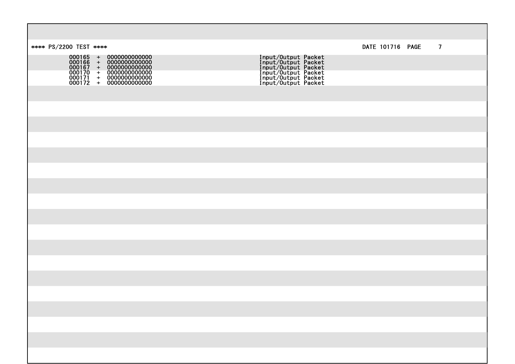| **** PS/2200 TEST ****                                                                                                                                                                      |                                                                                                                                                   | DATE 101716 PAGE | $\overline{7}$ |
|---------------------------------------------------------------------------------------------------------------------------------------------------------------------------------------------|---------------------------------------------------------------------------------------------------------------------------------------------------|------------------|----------------|
| $\begin{array}{cccc} 000165&+&00000000000000\\ 000166&+&00000000000000\\ 000167&+&00000000000000\\ 000170&+&00000000000000\\ 000171&+&00000000000000\\ 000172&+&00000000000000 \end{array}$ | <b>Input/Output Packet<br/>Input/Output Packet<br/>Input/Output Packet<br/>Input/Output Packet<br/>Input/Output Packet</b><br>Input/Output Packet |                  |                |
|                                                                                                                                                                                             |                                                                                                                                                   |                  |                |
|                                                                                                                                                                                             |                                                                                                                                                   |                  |                |
|                                                                                                                                                                                             |                                                                                                                                                   |                  |                |
|                                                                                                                                                                                             |                                                                                                                                                   |                  |                |
|                                                                                                                                                                                             |                                                                                                                                                   |                  |                |
|                                                                                                                                                                                             |                                                                                                                                                   |                  |                |
|                                                                                                                                                                                             |                                                                                                                                                   |                  |                |
|                                                                                                                                                                                             |                                                                                                                                                   |                  |                |
|                                                                                                                                                                                             |                                                                                                                                                   |                  |                |
|                                                                                                                                                                                             |                                                                                                                                                   |                  |                |
|                                                                                                                                                                                             |                                                                                                                                                   |                  |                |
|                                                                                                                                                                                             |                                                                                                                                                   |                  |                |
|                                                                                                                                                                                             |                                                                                                                                                   |                  |                |
|                                                                                                                                                                                             |                                                                                                                                                   |                  |                |
|                                                                                                                                                                                             |                                                                                                                                                   |                  |                |
|                                                                                                                                                                                             |                                                                                                                                                   |                  |                |
|                                                                                                                                                                                             |                                                                                                                                                   |                  |                |
|                                                                                                                                                                                             |                                                                                                                                                   |                  |                |
|                                                                                                                                                                                             |                                                                                                                                                   |                  |                |
|                                                                                                                                                                                             |                                                                                                                                                   |                  |                |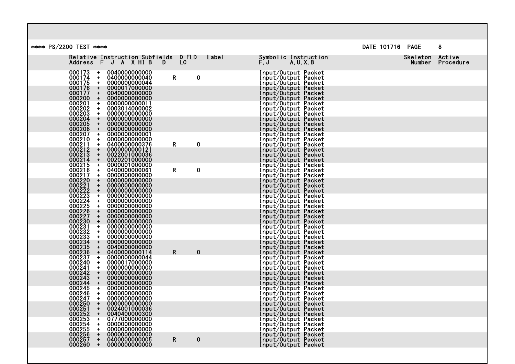| DATE 101716 PAGE<br>**** PS/2200 TEST ****<br>8<br>Relative Instruction Subfields D FLD Label<br>Symbolic Instruction<br>Skeleton Active<br>L <sub>C</sub><br>Address F J A X HI B<br>$F, J$ $A, U, X, B$<br>Number Procedure<br>$\blacksquare$<br>$000173$ +<br>000174 +<br>0040000000000<br>Input/Output Packet<br>Input/Output Packet<br>0400000000040<br>$\mathsf{R}$<br>$\mathbf 0$<br>$000175 +$<br>0000000000044<br>Input/Output Packet<br>Input/Output Packet<br>Input/Output Packet<br>$\begin{array}{c} 000176 \\ 000177 \\ + \end{array}$<br>0000017000000<br>0040000000000<br>$000200 +$<br>Input/Output Packet<br>0000000000000<br>0000000000011<br>0003014000002<br>$000201 + 000202 + 000203 + 000203 + 000204 + 000204$<br>Input/Output Packet<br>Input/Output Packet<br>Input/Output Packet<br>Input/Output Packet<br>0000000000000<br>0000000000000<br>000205<br>000206<br>0000000000000<br>000000000000<br>Input/Output Packet<br>$+$ |
|----------------------------------------------------------------------------------------------------------------------------------------------------------------------------------------------------------------------------------------------------------------------------------------------------------------------------------------------------------------------------------------------------------------------------------------------------------------------------------------------------------------------------------------------------------------------------------------------------------------------------------------------------------------------------------------------------------------------------------------------------------------------------------------------------------------------------------------------------------------------------------------------------------------------------------------------------------|
|                                                                                                                                                                                                                                                                                                                                                                                                                                                                                                                                                                                                                                                                                                                                                                                                                                                                                                                                                          |
|                                                                                                                                                                                                                                                                                                                                                                                                                                                                                                                                                                                                                                                                                                                                                                                                                                                                                                                                                          |
|                                                                                                                                                                                                                                                                                                                                                                                                                                                                                                                                                                                                                                                                                                                                                                                                                                                                                                                                                          |
|                                                                                                                                                                                                                                                                                                                                                                                                                                                                                                                                                                                                                                                                                                                                                                                                                                                                                                                                                          |
|                                                                                                                                                                                                                                                                                                                                                                                                                                                                                                                                                                                                                                                                                                                                                                                                                                                                                                                                                          |
| $+$                                                                                                                                                                                                                                                                                                                                                                                                                                                                                                                                                                                                                                                                                                                                                                                                                                                                                                                                                      |
| Input/Output Packet<br>Input/Output Packet<br>Input/Output Packet<br>$\begin{array}{c}\n 000207 \\  -000210\n \end{array}$<br>0000000000001<br>0000000000000<br>$000211 +$<br>0400000000376<br>R<br>$\mathbf 0$                                                                                                                                                                                                                                                                                                                                                                                                                                                                                                                                                                                                                                                                                                                                          |
| Input/Output Packet<br>Input/Output Packet<br>$000212 + 000213 + 000214 + 000215$<br>0000000000121<br>0022001000036<br>Input/Output Packet<br>0020201000000                                                                                                                                                                                                                                                                                                                                                                                                                                                                                                                                                                                                                                                                                                                                                                                              |
| Input/Output Packet<br>Input/Output Packet<br>0000001000000<br>$000216$ +<br>000217 +<br>0400000000061<br>R<br>$\mathbf 0$<br>Input/Output Packet<br>Input/Output Packet<br>000000000000                                                                                                                                                                                                                                                                                                                                                                                                                                                                                                                                                                                                                                                                                                                                                                 |
| 0000000000000<br>Input/Output Packet<br>Input/Output Packet<br>0000000000000<br>0000000000000<br>Input/Output Packet                                                                                                                                                                                                                                                                                                                                                                                                                                                                                                                                                                                                                                                                                                                                                                                                                                     |
| Input/Output Packet<br>Input/Output Packet<br>Input/Output Packet<br>Input/Output Packet<br>0000000000000<br>000000000000<br>0000000000000                                                                                                                                                                                                                                                                                                                                                                                                                                                                                                                                                                                                                                                                                                                                                                                                               |
| 0000000000000<br>0000000000000<br>Input/Output Packet<br>Input/Output Packet                                                                                                                                                                                                                                                                                                                                                                                                                                                                                                                                                                                                                                                                                                                                                                                                                                                                             |
| $000217$<br>$000220$<br>$000221$<br>$000222$<br>$000222$<br>$000225$<br>$000225$<br>$000225$<br>$000227$<br>$000230$<br>$000233$<br>$000233$<br>$000233$<br>$000233$<br>Input/Output Packet<br>Input/Output Packet<br>Input/Output Packet<br>0000000000000<br>0000000000000                                                                                                                                                                                                                                                                                                                                                                                                                                                                                                                                                                                                                                                                              |
| 0000000000000<br>Input/Output Packet<br>0040000000000<br>Input/Output Packet<br>0400000000114<br>R<br>$\bf{0}$                                                                                                                                                                                                                                                                                                                                                                                                                                                                                                                                                                                                                                                                                                                                                                                                                                           |
| $000233 \ 000234 \ 000235 \ 000236 \ 000237 \ 000240 \ 000244 \ 000244 \ 000244 \ 000245 \ 000247 \ 000247 \ 000251$<br>Input/Output Packet<br>Input/Output Packet<br>0000000000044<br>0000017000000<br>Input/Output Packet<br>Input/Output Packet<br>Input/Output Packet                                                                                                                                                                                                                                                                                                                                                                                                                                                                                                                                                                                                                                                                                |
| 0000000000000<br>000000000000<br>0000000000000<br>Input/Output Packet<br>0000000000000<br>Input/Output Packet                                                                                                                                                                                                                                                                                                                                                                                                                                                                                                                                                                                                                                                                                                                                                                                                                                            |
| 0000000000000<br>Input/Output Packet<br>Input/Output Packet                                                                                                                                                                                                                                                                                                                                                                                                                                                                                                                                                                                                                                                                                                                                                                                                                                                                                              |
| Input/Output Packet<br>Input/Output Packet<br>0000000000000<br>000251<br>0024001000036<br>$+$<br>Input/Output Packet                                                                                                                                                                                                                                                                                                                                                                                                                                                                                                                                                                                                                                                                                                                                                                                                                                     |
| 000252<br>000253<br>000254<br>000255<br>0040400000300<br>Input/Output Packet<br>$\ddot{\phantom{1}}$<br>0777000000000<br>Input/Output Packet<br>$+$<br>0000000000000<br>Input/Output Packet<br>Input/Output Packet<br>$+$<br>000000000000                                                                                                                                                                                                                                                                                                                                                                                                                                                                                                                                                                                                                                                                                                                |
| $+$<br>000256<br>$+$<br>0000000000000<br>Input/Output Packet<br>Input/Output Packet<br>0400000000005<br>000257<br>$\mathsf{R}$<br>$+$<br>0<br>0000000000000<br>000260 +<br>Input/Output Packet                                                                                                                                                                                                                                                                                                                                                                                                                                                                                                                                                                                                                                                                                                                                                           |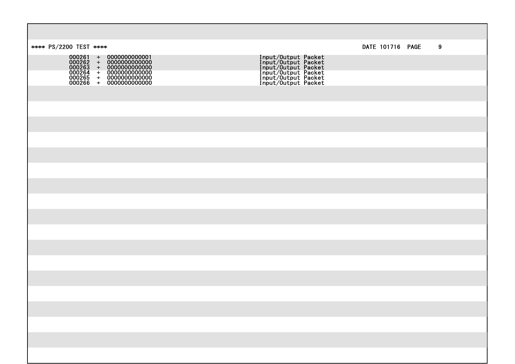| **** PS/2200 TEST ****                                                                                                                                                                                                                                    |                                                                                                                                                   |  | DATE 101716 PAGE | 9 |
|-----------------------------------------------------------------------------------------------------------------------------------------------------------------------------------------------------------------------------------------------------------|---------------------------------------------------------------------------------------------------------------------------------------------------|--|------------------|---|
| $\begin{array}{cccc} 000261 & + & 0000000000001 \\ 000262 & + & 00000000000000 \\ 000263 & + & 00000000000000 \\ 000264 & + & 00000000000000 \\ 000265 & + & 00000000000000 \\ 000266 & + & 00000000000000 \\ 000266 & + & 00000000000000 \\ \end{array}$ | <b>Input/Output Packet<br/>Input/Output Packet<br/>Input/Output Packet<br/>Input/Output Packet<br/>Input/Output Packet</b><br>Input/Output Packet |  |                  |   |
|                                                                                                                                                                                                                                                           |                                                                                                                                                   |  |                  |   |
|                                                                                                                                                                                                                                                           |                                                                                                                                                   |  |                  |   |
|                                                                                                                                                                                                                                                           |                                                                                                                                                   |  |                  |   |
|                                                                                                                                                                                                                                                           |                                                                                                                                                   |  |                  |   |
|                                                                                                                                                                                                                                                           |                                                                                                                                                   |  |                  |   |
|                                                                                                                                                                                                                                                           |                                                                                                                                                   |  |                  |   |
|                                                                                                                                                                                                                                                           |                                                                                                                                                   |  |                  |   |
|                                                                                                                                                                                                                                                           |                                                                                                                                                   |  |                  |   |
|                                                                                                                                                                                                                                                           |                                                                                                                                                   |  |                  |   |
|                                                                                                                                                                                                                                                           |                                                                                                                                                   |  |                  |   |
|                                                                                                                                                                                                                                                           |                                                                                                                                                   |  |                  |   |
|                                                                                                                                                                                                                                                           |                                                                                                                                                   |  |                  |   |
|                                                                                                                                                                                                                                                           |                                                                                                                                                   |  |                  |   |
|                                                                                                                                                                                                                                                           |                                                                                                                                                   |  |                  |   |
|                                                                                                                                                                                                                                                           |                                                                                                                                                   |  |                  |   |
|                                                                                                                                                                                                                                                           |                                                                                                                                                   |  |                  |   |
|                                                                                                                                                                                                                                                           |                                                                                                                                                   |  |                  |   |
|                                                                                                                                                                                                                                                           |                                                                                                                                                   |  |                  |   |
|                                                                                                                                                                                                                                                           |                                                                                                                                                   |  |                  |   |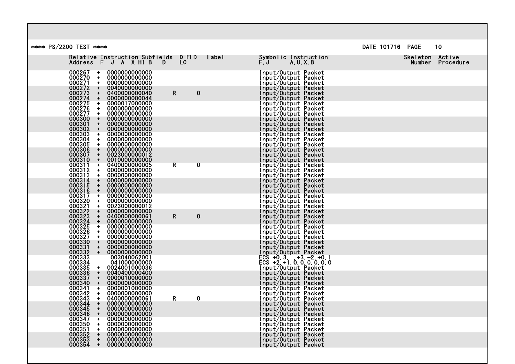| **** PS/2200 TEST ****<br>DATE 101716 PAGE<br>10<br>Skeleton Active<br>Relative Instruction Subfields D FLD<br>Label<br>Symbolic Instruction<br>LC<br>Address F J A X HI B<br>$\ddot{F}$ , $J$<br>A, U, X, B<br><b>D</b><br>Number Procedure<br>000267<br>0000000000000<br>Input/Output Packet<br>$+$<br>000270<br>000271<br>Input/Output Packet<br>0000000000000<br>$+$<br>$\ddot{\phantom{1}}$<br>0000000000000<br>Input/Output Packet<br>Input/Output Packet<br>000272<br>000273<br>000274<br>000275<br>000276<br>0040000000000<br>$+$<br>$+$<br>0400000000040<br>$\mathbf 0$<br>Input/Output Packet<br>R.<br>Input/Output Packet<br>$+$<br>$\ddot{\phantom{1}}$<br>Input/Output Packet<br>$+$<br>Input/Output Packet<br>000277<br>000300<br>Input/Output Packet<br>000000000000<br>$+$<br>0000000000000<br>$+$<br>Input/Output Packet<br>000301<br>0000000000000<br>Input/Output Packet<br>$\pm$<br>000302<br>0000000000000<br>$\pm$<br>Input/Output Packet<br>000303<br>000304<br>000305<br>0000000000000<br>Input/Output Packet<br>$+$<br>000000000000<br>$+$<br>Input/Output Packet<br>0000000000000<br>$+$<br>Input/Output Packet |
|-------------------------------------------------------------------------------------------------------------------------------------------------------------------------------------------------------------------------------------------------------------------------------------------------------------------------------------------------------------------------------------------------------------------------------------------------------------------------------------------------------------------------------------------------------------------------------------------------------------------------------------------------------------------------------------------------------------------------------------------------------------------------------------------------------------------------------------------------------------------------------------------------------------------------------------------------------------------------------------------------------------------------------------------------------------------------------------------------------------------------------------------|
|                                                                                                                                                                                                                                                                                                                                                                                                                                                                                                                                                                                                                                                                                                                                                                                                                                                                                                                                                                                                                                                                                                                                           |
|                                                                                                                                                                                                                                                                                                                                                                                                                                                                                                                                                                                                                                                                                                                                                                                                                                                                                                                                                                                                                                                                                                                                           |
|                                                                                                                                                                                                                                                                                                                                                                                                                                                                                                                                                                                                                                                                                                                                                                                                                                                                                                                                                                                                                                                                                                                                           |
|                                                                                                                                                                                                                                                                                                                                                                                                                                                                                                                                                                                                                                                                                                                                                                                                                                                                                                                                                                                                                                                                                                                                           |
|                                                                                                                                                                                                                                                                                                                                                                                                                                                                                                                                                                                                                                                                                                                                                                                                                                                                                                                                                                                                                                                                                                                                           |
|                                                                                                                                                                                                                                                                                                                                                                                                                                                                                                                                                                                                                                                                                                                                                                                                                                                                                                                                                                                                                                                                                                                                           |
|                                                                                                                                                                                                                                                                                                                                                                                                                                                                                                                                                                                                                                                                                                                                                                                                                                                                                                                                                                                                                                                                                                                                           |
| 000306<br>0000000000000<br>Input/Output Packet<br>$\ddot{}$<br>000307<br>0023000000012<br>$+$<br>Input/Output Packet<br>000310<br>0010000000000<br>Input/Output Packet<br>$+$                                                                                                                                                                                                                                                                                                                                                                                                                                                                                                                                                                                                                                                                                                                                                                                                                                                                                                                                                             |
| 000311<br>0400000000005<br>$+$<br>0<br>Input/Output Packet<br>R<br>000312<br>0000000000000<br>Input/Output Packet<br>$+$<br>000000000000<br>$+$<br>Input/Output Packet                                                                                                                                                                                                                                                                                                                                                                                                                                                                                                                                                                                                                                                                                                                                                                                                                                                                                                                                                                    |
| $\begin{array}{c} 000313 \\ 000314 \\ 000314 \\ 000315 \end{array}$<br>0000000000000<br>$+$<br>Input/Output Packet<br>Input/Output Packet<br>0000000000000<br>$+$<br>000316<br>$+$<br>0000000000000<br>Input/Output Packet                                                                                                                                                                                                                                                                                                                                                                                                                                                                                                                                                                                                                                                                                                                                                                                                                                                                                                                |
| 000317<br>0000000000000<br>Input/Output Packet<br>$\ddot{\phantom{1}}$<br>000000000000<br>Input/Output Packet<br>$\ddot{\phantom{1}}$<br>0023000000012<br>Input/Output Packet<br>$+$                                                                                                                                                                                                                                                                                                                                                                                                                                                                                                                                                                                                                                                                                                                                                                                                                                                                                                                                                      |
| 0000000000000<br>$\pm$<br>Input/Output Packet<br>0400000000061<br>R.<br>0<br>Input/Output Packet<br>$+$<br>000000000000<br>Input/Output Packet<br>$\pm$                                                                                                                                                                                                                                                                                                                                                                                                                                                                                                                                                                                                                                                                                                                                                                                                                                                                                                                                                                                   |
| 000317<br>000320<br>000321<br>000323<br>000325<br>000326<br>000327<br>0000000000000<br>Input/Output Packet<br>$+$<br>Input/Output Packet<br>Input/Output Packet<br>0000000000000<br>$+$<br>000000000000<br>$+$                                                                                                                                                                                                                                                                                                                                                                                                                                                                                                                                                                                                                                                                                                                                                                                                                                                                                                                            |
| 000330<br>0000000000000<br>Input/Output Packet<br>$+$<br>000331<br>000332<br>000333<br>0000000000000<br>Input/Output Packet<br>$\pm$<br>$+$<br>0000000000000                                                                                                                                                                                                                                                                                                                                                                                                                                                                                                                                                                                                                                                                                                                                                                                                                                                                                                                                                                              |
| Thout/Output Packet<br>ECS +0, 3, , +3, +2, +0, 1<br>ECS +2, +1, 0, 0, 0, 0, 0, 0<br>Input/Output Packet<br>003040062001<br>000334<br>041000000000<br>000335<br>0024001000036<br>$+$                                                                                                                                                                                                                                                                                                                                                                                                                                                                                                                                                                                                                                                                                                                                                                                                                                                                                                                                                      |
| 000336<br>Input/Output Packet<br>0040400000400<br>$+$<br>000337<br>0000010000000<br>Input/Output Packet<br>$+$<br>000340<br>0000000000000<br>$+$<br>Input/Output Packet                                                                                                                                                                                                                                                                                                                                                                                                                                                                                                                                                                                                                                                                                                                                                                                                                                                                                                                                                                   |
| 000341<br>0000001000000<br>Input/Output Packet<br>$+$<br>000342<br>000343<br>000000000000<br>Input/Output Packet<br>$\ddot{}$<br>0400000000061<br>R<br>0<br>$+$                                                                                                                                                                                                                                                                                                                                                                                                                                                                                                                                                                                                                                                                                                                                                                                                                                                                                                                                                                           |
| Input/Output Packet<br>000344<br>0000000000000<br>Input/Output Packet<br>$\ddot{}$<br>000345<br>$+$<br>0000000000000<br>Input/Output Packet<br>000346<br>0000000000000<br>Input/Output Packet<br>$\ddot{\phantom{1}}$                                                                                                                                                                                                                                                                                                                                                                                                                                                                                                                                                                                                                                                                                                                                                                                                                                                                                                                     |
| 000347<br>0000000000000<br>$+$<br>Input/Output Packet<br>000350<br>000351<br>0000000000000<br>000000000000<br>Input/Output Packet<br>$+$                                                                                                                                                                                                                                                                                                                                                                                                                                                                                                                                                                                                                                                                                                                                                                                                                                                                                                                                                                                                  |
| Input/Output Packet<br>$+$<br>000352<br>$+$<br>0000000000000<br>Input/Output Packet<br>0000000000000<br>000353<br>$\ddot{\phantom{1}}$<br>Input/Output Packet<br>000354<br>$+$<br>0000000000000<br>Input/Output Packet                                                                                                                                                                                                                                                                                                                                                                                                                                                                                                                                                                                                                                                                                                                                                                                                                                                                                                                    |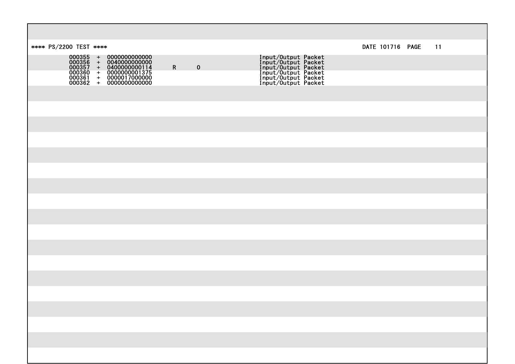| **** PS/2200 TEST ****                                                                                                                                                                   |                            |                                                                                                                                                   | DATE 101716 PAGE | $-11$ |  |
|------------------------------------------------------------------------------------------------------------------------------------------------------------------------------------------|----------------------------|---------------------------------------------------------------------------------------------------------------------------------------------------|------------------|-------|--|
| $\begin{array}{cccc} 000355&+&00000000000000\\ 000356&+&00400000000000\\ 000357&+&04000000000114\\ 000360&+&0000000001375\\ 000361&+&0000017000000\\ 000362&+&0000000000000 \end{array}$ | $\mathbf R$<br>$\mathbf 0$ | <b>Input/Output Packet<br/>Input/Output Packet<br/>Input/Output Packet<br/>Input/Output Packet<br/>Input/Output Packet</b><br>Input/Output Packet |                  |       |  |
|                                                                                                                                                                                          |                            |                                                                                                                                                   |                  |       |  |
|                                                                                                                                                                                          |                            |                                                                                                                                                   |                  |       |  |
|                                                                                                                                                                                          |                            |                                                                                                                                                   |                  |       |  |
|                                                                                                                                                                                          |                            |                                                                                                                                                   |                  |       |  |
|                                                                                                                                                                                          |                            |                                                                                                                                                   |                  |       |  |
|                                                                                                                                                                                          |                            |                                                                                                                                                   |                  |       |  |
|                                                                                                                                                                                          |                            |                                                                                                                                                   |                  |       |  |
|                                                                                                                                                                                          |                            |                                                                                                                                                   |                  |       |  |
|                                                                                                                                                                                          |                            |                                                                                                                                                   |                  |       |  |
|                                                                                                                                                                                          |                            |                                                                                                                                                   |                  |       |  |
|                                                                                                                                                                                          |                            |                                                                                                                                                   |                  |       |  |
|                                                                                                                                                                                          |                            |                                                                                                                                                   |                  |       |  |
|                                                                                                                                                                                          |                            |                                                                                                                                                   |                  |       |  |
|                                                                                                                                                                                          |                            |                                                                                                                                                   |                  |       |  |
|                                                                                                                                                                                          |                            |                                                                                                                                                   |                  |       |  |
|                                                                                                                                                                                          |                            |                                                                                                                                                   |                  |       |  |
|                                                                                                                                                                                          |                            |                                                                                                                                                   |                  |       |  |
|                                                                                                                                                                                          |                            |                                                                                                                                                   |                  |       |  |
|                                                                                                                                                                                          |                            |                                                                                                                                                   |                  |       |  |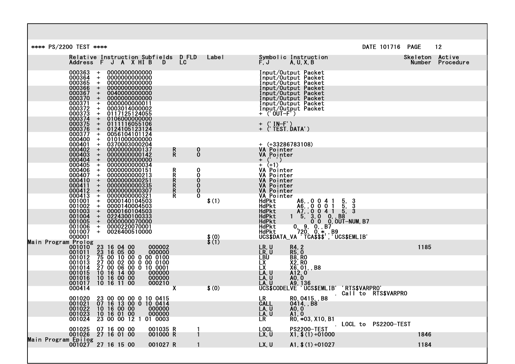| **** PS/2200 TEST ****                                |                                                |                                                                                                                                                                                                                 |                                                                  |                      |                  |                                                       |                                                                     |                                                                                                                                                                       |                       | DATE 101716 PAGE |                           | 12        |
|-------------------------------------------------------|------------------------------------------------|-----------------------------------------------------------------------------------------------------------------------------------------------------------------------------------------------------------------|------------------------------------------------------------------|----------------------|------------------|-------------------------------------------------------|---------------------------------------------------------------------|-----------------------------------------------------------------------------------------------------------------------------------------------------------------------|-----------------------|------------------|---------------------------|-----------|
|                                                       |                                                | Relative Instruction Subfields D FLD<br>Address F J A X HI B                                                                                                                                                    |                                                                  | D                    | LC               | Label                                                 | $\tilde{F}$ , $\tilde{J}$                                           | Symbolic Instruction<br>A, U, X, B                                                                                                                                    |                       |                  | Skeleton Active<br>Number | Procedure |
|                                                       | 000363<br>000364<br>000365<br>000366           | $+$<br>+<br>$\div$                                                                                                                                                                                              | 0000000000000<br>0000000000000<br>0000000000000                  |                      |                  |                                                       |                                                                     | Input/Output Packet<br>Input/Output Packet                                                                                                                            |                       |                  |                           |           |
|                                                       | 000367<br>000370                               | $\ddot{}$<br>$\ddotmark$<br>$+$                                                                                                                                                                                 | 0000000000000<br>0040000000000<br>0000000000000                  |                      |                  |                                                       |                                                                     | Thput/Output Packet<br>Input/Output Packet<br>Input/Output Packet<br>Input/Output Packet                                                                              |                       |                  |                           |           |
|                                                       | 000371<br>000372<br>000373<br>000374<br>000375 | $+$<br>$\ddot{}$<br>$+$                                                                                                                                                                                         | 0000000000011<br>0003014000002<br>0117125124055                  |                      |                  |                                                       | + ('OUT-F')                                                         | Input/Output Packet<br>Input/Output Packet                                                                                                                            |                       |                  |                           |           |
|                                                       | 000376                                         | $\ddot{}$<br>$+$<br>$+$                                                                                                                                                                                         | 0106000000000<br>0111116055106<br>0124105123124                  |                      |                  |                                                       | $+$ ('IN-F')<br>$+$ $\langle$ TEST. DATA' $\rangle$                 |                                                                                                                                                                       |                       |                  |                           |           |
|                                                       | 000377<br>000400<br>000401<br>000402           | $\ddot{}$<br>$+$<br>$+$                                                                                                                                                                                         | 0056104101124<br>0101000000000<br>0370003000204                  |                      |                  |                                                       | $+$ (+33286783108)                                                  |                                                                                                                                                                       |                       |                  |                           |           |
|                                                       | 000403<br>000404                               | $\ddot{}$<br>$+$<br>$\pm$                                                                                                                                                                                       | 0000000000137<br>0000000000142<br>0000000000000                  |                      | $\mathsf{R}$     | 0<br>Ŏ                                                | <b>VA Pointer</b><br>$\overline{V}$ A Pointer                       |                                                                                                                                                                       |                       |                  |                           |           |
|                                                       | 000405<br>000406<br>000407                     | $+$<br>$+$<br>$+$                                                                                                                                                                                               | 0000000000034<br>0000000000151<br>0000000000213                  |                      | $\mathbf{R}$     | 0<br>Ŏ                                                | $+$ (+1)<br>VA Pointer<br>VA Pointer                                |                                                                                                                                                                       |                       |                  |                           |           |
|                                                       | 000410<br>000411                               | $\ddot{}$<br>$\begin{array}{c} + \end{array}$<br>$+$                                                                                                                                                            | 0000000000251<br>0000000000335<br>0000000000307                  |                      | R<br>R<br>R<br>R | $\begin{smallmatrix} 0 \ 0 \ 0 \ 0 \end{smallmatrix}$ | <b>VA Pointer</b><br>VA Pointer<br>VA Pointer<br>VA Pointer         |                                                                                                                                                                       |                       |                  |                           |           |
|                                                       | 000412<br>000413<br>001001<br>001002           | $\ddot{}$<br>$\pm$<br>$+$                                                                                                                                                                                       | 0000000000321<br>0000140104503<br>0000140004503<br>0000160104503 |                      |                  | \$(1)                                                 | HdPkt<br><b>HdPkt</b>                                               |                                                                                                                                                                       |                       |                  |                           |           |
|                                                       | 001003<br>001004<br>001005<br>001006           | $\boldsymbol{+}$<br>$\ddot{}$<br>$\ddotmark$<br>$+$                                                                                                                                                             | 0224300100333<br>0000000070000<br>0000220070001                  |                      |                  |                                                       | <b>HdPkt</b><br><b>HdPkt</b><br>HdPkt<br>HdPkt                      | A6, , 0 0 4 1 5, 3<br>A6, , 0 0 0 1 5, 3<br>A7, , 0 0 4 1 5, 3<br>1 5, 3, 0 0, B8<br>0 0 0, 0UT-NUM, B7<br>0, 9, 0, B7<br>720, 0, *, B9<br>VA TCA\$\$\$', UCS\$EMLIB' |                       |                  |                           |           |
|                                                       | 001007<br>000001                               | $+$                                                                                                                                                                                                             | 0026400510000                                                    |                      |                  | $\frac{1}{2}$ (0)<br>$\frac{1}{2}$                    | <b>HdPkt</b><br>UCS\$DATA_VA                                        |                                                                                                                                                                       |                       |                  |                           |           |
| Main Program Prolog<br>001010<br>001011               | 001012                                         | $\begin{array}{cccc} 23&16&04&00&000002\\ 23&16&05&00&000000\\ 75&00&10&00&0&0&0100\\ 27&00&02&00&0&0&0100\\ 27&00&06&00&0&10&0001\\ 10&16&14&00&000000\\ 10&16&00&00&0000000\\ 10&16&11&00&000210 \end{array}$ |                                                                  |                      |                  |                                                       | LR, U<br>LR, U                                                      | R4, 2<br>R5, 0<br>B8, R0<br>X2, R0<br>X6, 01, , B8                                                                                                                    |                       |                  | 1185                      |           |
|                                                       | 001013<br>001014                               |                                                                                                                                                                                                                 |                                                                  |                      |                  |                                                       | čbu`<br>LX<br>LX<br>LA, U                                           | A <sub>12</sub> , 0                                                                                                                                                   |                       |                  |                           |           |
|                                                       | 001015<br>001016<br>001017<br>000414           |                                                                                                                                                                                                                 |                                                                  |                      | $\mathbf{x}$     | \$(0)                                                 | LÂ, Ŭ<br>LÂ, Ŭ<br>LA, Ŭ ÁÒ, Ô<br>LA, U A9, 136<br>UCS\$CODELVE 'UC: | 'UCS\$EMLIB'                                                                                                                                                          | ' RTS\$VARPRO'        |                  |                           |           |
|                                                       | 001020<br>001021                               |                                                                                                                                                                                                                 |                                                                  |                      |                  |                                                       | LR                                                                  | RO, 0415, B8<br>0414, B8                                                                                                                                              | . Call to RTS\$VARPRO |                  |                           |           |
|                                                       | 001022<br>001023<br>001024                     | 23 00 00 00 0 10 0415<br>07 16 13 00 0 10 0414<br>10 16 00 00 000000<br>10 16 01 00 000000<br>23 00 00 12 1 01 0003                                                                                             |                                                                  |                      |                  |                                                       | CALL<br>LA, U<br>īa, ū<br>LR <sup>'</sup>                           | AO, O<br>A1. O<br>RO, *03, X10, B1                                                                                                                                    |                       |                  |                           |           |
|                                                       | 001025<br>001026                               | 07 16 00 00<br>27 16 01 00                                                                                                                                                                                      |                                                                  | 001035 R<br>001000 R |                  |                                                       | <b>LOCL</b><br>LX, U                                                | <b>PS2200-TEST</b><br>$X1, $(1)+01000$                                                                                                                                | LOCL to PS2200-TEST   |                  | 1846                      |           |
| Main Program Epilog<br>001027    27    16    15    00 |                                                |                                                                                                                                                                                                                 |                                                                  | 001027 R             |                  |                                                       | LX, U                                                               | $A1, $(1)+01027$                                                                                                                                                      |                       |                  | 1184                      |           |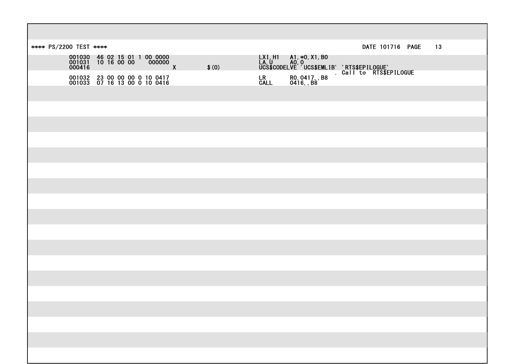| **** PS/2200 TEST **** |                                                              |               |       |  | DATE 101716 PAGE                                                                                                                   | 13 |
|------------------------|--------------------------------------------------------------|---------------|-------|--|------------------------------------------------------------------------------------------------------------------------------------|----|
|                        |                                                              | $\frac{1}{x}$ | \$(0) |  | LXI,H1 A1,*0,X1,B0<br>LA,U A0,0<br>UC\$\$CODELVE'UCS\$EMLIB''RTS\$EPILOGUE'<br>LR R0,0417,B8 Gallto RTS\$EPILOGUE<br>CALL 0416,,B8 |    |
|                        | 001032 23 00 00 00 0 10 0417<br>001033 07 16 13 00 0 10 0416 |               |       |  |                                                                                                                                    |    |
|                        |                                                              |               |       |  |                                                                                                                                    |    |
|                        |                                                              |               |       |  |                                                                                                                                    |    |
|                        |                                                              |               |       |  |                                                                                                                                    |    |
|                        |                                                              |               |       |  |                                                                                                                                    |    |
|                        |                                                              |               |       |  |                                                                                                                                    |    |
|                        |                                                              |               |       |  |                                                                                                                                    |    |
|                        |                                                              |               |       |  |                                                                                                                                    |    |
|                        |                                                              |               |       |  |                                                                                                                                    |    |
|                        |                                                              |               |       |  |                                                                                                                                    |    |
|                        |                                                              |               |       |  |                                                                                                                                    |    |
|                        |                                                              |               |       |  |                                                                                                                                    |    |
|                        |                                                              |               |       |  |                                                                                                                                    |    |
|                        |                                                              |               |       |  |                                                                                                                                    |    |
|                        |                                                              |               |       |  |                                                                                                                                    |    |
|                        |                                                              |               |       |  |                                                                                                                                    |    |
|                        |                                                              |               |       |  |                                                                                                                                    |    |
|                        |                                                              |               |       |  |                                                                                                                                    |    |
|                        |                                                              |               |       |  |                                                                                                                                    |    |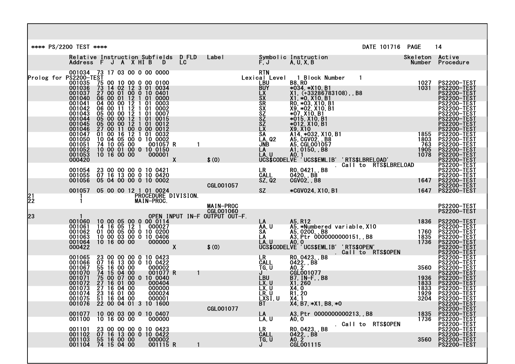|          | **** PS/2200 TEST ****                                                       |  |                                                                                                                                                                                                                                                                                                    |                                                                  |                                            |                                                                      |                                                                                                                                                                                                                                                    | DATE 101716 PAGE                                                                                                                                                                                                                                        | $\overline{14}$                      |                                                                                                                            |
|----------|------------------------------------------------------------------------------|--|----------------------------------------------------------------------------------------------------------------------------------------------------------------------------------------------------------------------------------------------------------------------------------------------------|------------------------------------------------------------------|--------------------------------------------|----------------------------------------------------------------------|----------------------------------------------------------------------------------------------------------------------------------------------------------------------------------------------------------------------------------------------------|---------------------------------------------------------------------------------------------------------------------------------------------------------------------------------------------------------------------------------------------------------|--------------------------------------|----------------------------------------------------------------------------------------------------------------------------|
|          |                                                                              |  |                                                                                                                                                                                                                                                                                                    | Relative Instruction Subfields DFLD<br>Address F J A X HI B D LC | <b>Label</b>                               |                                                                      | Symbolic Instruction<br>F.J      A.U.X.B                                                                                                                                                                                                           |                                                                                                                                                                                                                                                         |                                      | Skeleton Active<br>Number Procedure                                                                                        |
|          | 001034 73 17 03 00 0 00 0000<br>Prolog for PŠŽ2OO-TEST<br>001035<br>001037   |  | $\begin{array}{rrrr} 1181 & 75 & 00 & 10 & 00 & 0 & 00 & 0100 \\ 73 & 14 & 02 & 12 & 3 & 01 & 0034 \\ 27 & 00 & 01 & 00 & 0 & 10 & 0401 \\ 06 & 00 & 01 & 12 & 1 & 01 & 0000 \\ 04 & 00 & 00 & 12 & 1 & 01 & 0003 \\ 06 & 00 & 11 & 12 & 1 & 01 & 0002 \\ 05 & 00 & 00 & 12 & 1 & 01 & 0007 \\ 05$ |                                                                  |                                            |                                                                      | $RTN$ Lexical Level 1 Block Number<br>LBU 88, RO<br>BUY *034, *X10, B1<br>EX X1, (+33286783108), , B<br>SX X1, +0, X10, B1<br>SX RO, *03, X10, B1<br>SX X9, *02, X10, B1<br>SZ *07, X10, B1<br>SZ *015, X10, B1<br>SZ *015, X10, B1<br>SZ *015, X1 | RTN<br>1B1 Level 1 Block Number 1<br>LBU<br>BUY *034, *X10, B1 1027<br>LX X1, *0 X10, B1<br>LX X1, *0 X10, B1<br>SX R0, *03, X10, B1<br>SX R0, *03, X10, B1<br>SX 9, 202, X10, B1<br>SZ *07 X10, B1<br>SZ *07 X10, B1<br>SZ *015, X10, B1<br>SZ *015,   |                                      | <b>PS2200-TEST<br/>PS2200-TEST</b><br><b>PS2200-TEST</b><br>PS2200-TEST                                                    |
|          | 001040<br>001041<br>001042<br>001043<br>001044<br>001045<br>001046<br>001047 |  | $\begin{array}{cccc} 05 & 00 & 00 & 12 & 1 & 01 & 0012 \\ 27 & 00 & 11 & 00 & 0 & 00 & 0012 \\ 01 & 00 & 16 & 12 & 1 & 01 & 0032 \\ 10 & 04 & 05 & 00 & 0 & 10 & 0002 \\ 74 & 10 & 05 & 00 & 0 & 001057 \end{array}$                                                                               |                                                                  |                                            |                                                                      |                                                                                                                                                                                                                                                    |                                                                                                                                                                                                                                                         |                                      | PS2200-TEST<br><b>PS2200-TEST</b><br>PS2200-TEST<br><b>PS2200-TEST</b><br>PS2200-TEST<br>PS2200-TEST<br><b>PS2200-TEST</b> |
|          | 001050<br>001051<br>001052<br>001053<br>000420                               |  | 001057 R<br>$\begin{array}{c} 10 & 00 & 01 & 00 & 0 & 10 & 0150 \\ 10 & 16 & 00 & 00 & 000001 \end{array}$                                                                                                                                                                                         | $\mathbf{1}$<br>$\boldsymbol{X}$                                 | \$(0)                                      |                                                                      |                                                                                                                                                                                                                                                    |                                                                                                                                                                                                                                                         |                                      | PS2200-TEST<br><b>PS2200-TEST</b><br><b>PS2200-TEST</b><br>PS2200-TEST<br>PS2200-TEST<br>PS2200-TEST                       |
|          | 001054<br>001055<br>001056                                                   |  | 23 00 00 00 0 10 0421<br>07 16 13 00 0 10 0420<br>05 04 00 00 0 10 0002                                                                                                                                                                                                                            |                                                                  | <b>CGL001057</b>                           | LR<br>CALL<br>SZ, Q2                                                 |                                                                                                                                                                                                                                                    | 1647<br>16420, 88<br>Agyaz – 1647<br>Agyaz – 1647                                                                                                                                                                                                       |                                      | PS2200-TEST<br>PS2200-TEST<br>PS2200-TEST<br>PS2200-TEST<br>PS2200-TEST                                                    |
| 21<br>22 | 001057                                                                       |  | 05 00 00 12 1 01 0024                                                                                                                                                                                                                                                                              | PROČEDURE DIVISION.<br>MAIN-PROC.                                | <b>MAIN-PROC</b>                           | <b>SZ</b>                                                            |                                                                                                                                                                                                                                                    | *CGV024, X10, B1                                                                                                                                                                                                                                        | 1647                                 | <b>PS2200-TEST</b>                                                                                                         |
| 23       |                                                                              |  |                                                                                                                                                                                                                                                                                                    |                                                                  | CGLOO1060<br>OPEN INPUT IN-F OUTPUT OUT-F. |                                                                      |                                                                                                                                                                                                                                                    |                                                                                                                                                                                                                                                         |                                      | <b>PS2200-TEST</b>                                                                                                         |
|          | 000422                                                                       |  | 001060 10 00 05 00 0 00 0114<br>001061 14 16 05 12 1 000027<br>001062 01 00 05 00 0 10 0200<br>001063 10 00 03 00 0 10 0406<br>001064 10 16 00 00 000000<br>$\overline{0}$ 000000 $\overline{X}$                                                                                                   |                                                                  | \$(0)                                      |                                                                      |                                                                                                                                                                                                                                                    | LA A5, R12<br>AA, U A5, *Numbered variable, X10<br>SA A5, 0200, B8<br>LA A3, Ptr 0000000000151, B8<br>LA A3, Ptr 000000000151, B8<br>LA A0, 0<br>LA A0, 0<br>LA A0, 0<br>LA A0, 0<br>LA A0, 2<br>CS\$CODELVE UCS\$EMLIB' 'RTS\$OPEN'<br>LR RO, 0423, B8 |                                      |                                                                                                                            |
|          | 001065<br>001066<br>001067<br>001070                                         |  | $\frac{000002}{001077}$ R                                                                                                                                                                                                                                                                          | $\mathbf{1}$                                                     |                                            |                                                                      |                                                                                                                                                                                                                                                    |                                                                                                                                                                                                                                                         |                                      |                                                                                                                            |
|          | 001071<br>001072<br>001073<br>001074<br>001075<br>001076                     |  | $\begin{array}{cccc} 23&00&00&00&0&10&0423\ 07&16&13&00&0&10&0422\ 05&16&00&00&000002\ 74&15&04&00&000002\ 75&00&07&00&0&10&0040\ 27&16&01&00&0000040\ 27&16&04&00&0000000\ 23&16&01&00&000024\ 51&16&04&00&000001\ 22&00&04&01&3&10&1600$                                                         |                                                                  |                                            | <b>LBU</b><br>$\overline{LX}$ , U<br>ĒX, Ū<br>ČŘ, Ŭ<br>LXST, U<br>BT | $\overline{B7}$ , IN-F, B8<br>X1, 260<br>X4, 0<br>R1, 20<br>X4, 1<br>$X4, B7, *X1, B8, *0$                                                                                                                                                         | $rac{1}{8}$                                                                                                                                                                                                                                             | 1936<br>1833<br>1833<br>1929<br>3204 | PS2200-TEST<br><b>PS2200-TEST</b><br><b>PS2200-TEST</b><br><b>PS2200-TEST</b><br><b>PS2200-TEST</b><br><b>PS2200-TEST</b>  |
|          | 001077<br>001100                                                             |  | 10 00 03 00 0 10 0407<br>10 16 00 00 0000000                                                                                                                                                                                                                                                       |                                                                  | CGL001077                                  | LA<br>LA, U                                                          |                                                                                                                                                                                                                                                    | A3, Ptr 0000000000213, B8 1835<br>A0, 0 1736<br>. Call to RTS\$OPEN                                                                                                                                                                                     |                                      | <b>PS2200-TEST</b><br><b>PS2200-TEST</b><br>PS2200-TEST<br>PS2200-TEST                                                     |
|          | 001101<br>001102<br>001103 55 16 00 00<br>001104 74 15 04 00                 |  | 23 00 00 00 0 10 0423<br>07 16 13 00 0 10 0422<br>000002<br>001115 R                                                                                                                                                                                                                               |                                                                  |                                            | <b>LR</b><br>CALL<br>TG, U                                           | R0, 0423, , B8<br>0422, , B8<br>A0, 2<br>CGL001115                                                                                                                                                                                                 |                                                                                                                                                                                                                                                         | 3560                                 | PŠ2200-TEST<br><b>PS2200-TEST</b><br>PS2200-TEST<br>PS2200-TEST                                                            |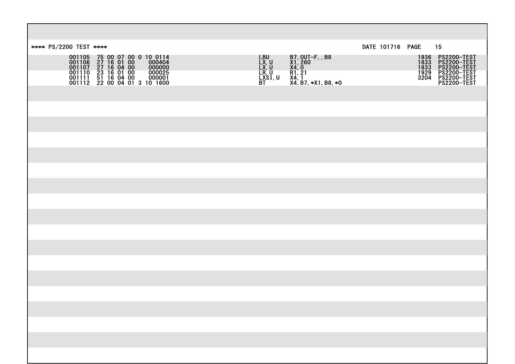| DATE 101716 PAGE<br>**** PS/2200 TEST ****                                                                                                                                                                                                                                                                |                                      | 15                                                                                                |
|-----------------------------------------------------------------------------------------------------------------------------------------------------------------------------------------------------------------------------------------------------------------------------------------------------------|--------------------------------------|---------------------------------------------------------------------------------------------------|
| LBU<br>LX, U<br>LX, U<br>LX, U<br>LXSI, U<br>BT<br>B7, OUT-F, , B8<br>X1, 260<br>X4, 0<br>R1, 21<br>X4, B7, *X1, B8, *0<br>001105 75 00 07 00 0 10 0114<br>001106 27 16 01 00 000404<br>001107 27 16 04 00 000000<br>001110 23 16 01 00 0000025<br>001111 51 16 04 00 000001<br>001111 51 16 04 00 000001 | 1936<br>1833<br>1833<br>1929<br>3204 | <b>PS2200-TEST<br/>PS2200-TEST<br/>PS2200-TEST<br/>PS2200-TEST<br/>PS2200-TEST</b><br>PS2200-TEST |
|                                                                                                                                                                                                                                                                                                           |                                      |                                                                                                   |
|                                                                                                                                                                                                                                                                                                           |                                      |                                                                                                   |
|                                                                                                                                                                                                                                                                                                           |                                      |                                                                                                   |
|                                                                                                                                                                                                                                                                                                           |                                      |                                                                                                   |
|                                                                                                                                                                                                                                                                                                           |                                      |                                                                                                   |
|                                                                                                                                                                                                                                                                                                           |                                      |                                                                                                   |
|                                                                                                                                                                                                                                                                                                           |                                      |                                                                                                   |
|                                                                                                                                                                                                                                                                                                           |                                      |                                                                                                   |
|                                                                                                                                                                                                                                                                                                           |                                      |                                                                                                   |
|                                                                                                                                                                                                                                                                                                           |                                      |                                                                                                   |
|                                                                                                                                                                                                                                                                                                           |                                      |                                                                                                   |
|                                                                                                                                                                                                                                                                                                           |                                      |                                                                                                   |
|                                                                                                                                                                                                                                                                                                           |                                      |                                                                                                   |
|                                                                                                                                                                                                                                                                                                           |                                      |                                                                                                   |
|                                                                                                                                                                                                                                                                                                           |                                      |                                                                                                   |
|                                                                                                                                                                                                                                                                                                           |                                      |                                                                                                   |
|                                                                                                                                                                                                                                                                                                           |                                      |                                                                                                   |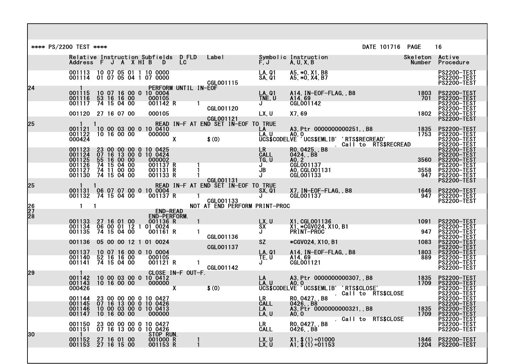|                 | **** PS/2200 TEST **** |                                          |                            |  |                                                                                                                                                                                                          |                                   |              |                                                                                   |                                         |                                                                                                                | DATE 101716 PAGE     |                                             | 16                                                                                           |
|-----------------|------------------------|------------------------------------------|----------------------------|--|----------------------------------------------------------------------------------------------------------------------------------------------------------------------------------------------------------|-----------------------------------|--------------|-----------------------------------------------------------------------------------|-----------------------------------------|----------------------------------------------------------------------------------------------------------------|----------------------|---------------------------------------------|----------------------------------------------------------------------------------------------|
|                 |                        |                                          |                            |  | Relative Instruction Subfields DFLD<br>Address F J A X HI B D LC                                                                                                                                         |                                   |              | Label <b>Labe</b>                                                                 |                                         |                                                                                                                |                      | Skeleton Active<br>Number Proced            | Procedure                                                                                    |
|                 |                        |                                          |                            |  | 001113 10 07 05 01 1 10 0000<br>001114 01 07 05 04 1 07 0000                                                                                                                                             |                                   |              | CGL001115                                                                         | LA, 01<br>SA, 01                        | A5, *0, X1, B8<br>A5, *0, X4, B7                                                                               |                      |                                             | <b>PS2200-TEST</b><br>PŠ2200-TEST<br><b>PS2200-TEST</b>                                      |
| 124             | 001115                 | 001116<br>001117                         | 53 16 16 00<br>74 15 04 00 |  | 10 07 16 00 0 10 0004<br>000105<br>001142 R                                                                                                                                                              | PERFORM UNTIL IN-EOF              |              |                                                                                   | LA, Q1<br>TNE, U<br>J                   | A14, IN-EOF-FLAG, , B8<br>A14, 69<br><b>CGL001142</b>                                                          |                      | 1803<br>701                                 | <b>PS2200-TEST</b><br><b>PS2200-TEST</b><br>PS2200-TEST                                      |
|                 |                        | 001120 27 16 07 00                       |                            |  | 000105                                                                                                                                                                                                   |                                   |              | <b>CGL001120</b>                                                                  | LX, U                                   | X7,69                                                                                                          |                      | 1802                                        | PS2200-TEST<br>PS2200-TEST<br><b>PS2200-TEST</b>                                             |
| 25              | 000424                 |                                          |                            |  | $\begin{array}{@{}lllllllllll@{}} & 1 & 1 & \mbox{READ} \\ \text{001121} & 10 & 00 & 03 & 00 & 0 & 10 & 0410 \\ \text{001122} & 10 & 16 & 00 & 00 & & 000000 \end{array}$<br>000000                      | $\sim$ $\chi$                     |              | READ IN-F AT END SET IN-EOF TO TRUE<br>\$(0)                                      | LA<br>LA, U                             | A3, Ptr 0000000000251, B8<br>LA<br>LAU AO O<br>UCS\$CODELVE UCS\$EMLIB' 'RTS\$RECREAD'<br>Call to RTS\$RECREAD |                      | $\begin{array}{r} 1835 \\ 1753 \end{array}$ | <b>PS2200-TEST</b><br>PS2200-TEST<br>PS2200-TEST<br><b>PS2200-TEST</b>                       |
|                 |                        |                                          |                            |  | 001123 23 00 00 00 0 10 0425<br>001124 07 16 13 00 0 10 0424<br>001125 55 16 00 00 000002<br>001126 74 15 04 00 001137<br>001127 74 11 00 00 001131<br>001130 74 15 04 00 001133<br>001137 R<br>001131 R |                                   |              |                                                                                   | CALL<br>TG, U<br>J<br>JB<br>J           | R0, 0425, , B8<br>0424, , B8<br>AO 2''<br>CGL001137<br>AO, CGLOO1131                                           |                      | 3560<br>3558                                | PS2200-TEST<br>PS2200-TEST<br><b>PS2200-TEST</b><br>PS2200-TEST<br><b>PS2200-TEST</b>        |
|                 |                        |                                          |                            |  | 001133 R                                                                                                                                                                                                 |                                   |              | CGL001131                                                                         |                                         | CGL001133                                                                                                      |                      | 947                                         | PS2200-TEST<br>PS2200-TEST                                                                   |
| 25              |                        |                                          |                            |  | 001131 06 07 07 00 0 10 0004<br>001132 74 15 04 00 001137<br>001137 R                                                                                                                                    |                                   |              | READ IN-F AT END SET IN-EOF TO TRUE<br>CGLOO1133<br>NOT AT END PERFORM PRINT-PROC | SX, 01<br>J                             | X7, IN-EOF-FLAG, , B8<br>CGL001137                                                                             |                      | 1646<br>947                                 | <b>PS2200-TEST</b><br><b>PS2200-TEST</b><br>PS2200-TEST                                      |
| $\frac{26}{27}$ |                        | $\mathbf{1}$<br>$\mathbf{1}$             |                            |  |                                                                                                                                                                                                          | <b>END-READ</b>                   |              |                                                                                   |                                         |                                                                                                                |                      |                                             |                                                                                              |
|                 | 001135                 | 001133 27 16 01 00<br>001134             |                            |  | END-PERFORM.<br>76 19 UI 00 001136 R<br>06 00 01 12 1 01 0024<br>74 15 04 00 001161 P                                                                                                                    |                                   |              | CGL001136                                                                         | LX, U<br><b>SX</b><br>J                 | X1, CGL001136<br>X1, *CGV024, X10, B1<br><b>PRINT-PROC</b>                                                     |                      | 1091<br>947                                 | <b>PS2200-TEST</b><br>PS2200-TEST<br>PS2200-TEST<br><b>PS2200-TEST</b>                       |
|                 |                        | 001136                                   |                            |  | 05 00 00 12 1 01 0024                                                                                                                                                                                    |                                   |              | CGL001137                                                                         | <b>SZ</b>                               | *CGV024, X10, B1                                                                                               |                      | 1083                                        | <b>PS2200-TEST</b><br>PS2200-TEST                                                            |
|                 |                        |                                          |                            |  | 001137  10  07  16  00  0  10  0004<br>001140  52  16  16  00  000105<br>001141  74  15  04  00  001121<br>OO1121 R                                                                                      |                                   | $\mathbf{1}$ | <b>CGL001142</b>                                                                  | <b>LA, 01</b><br>TE, U<br>J             | A14, IN-EOF-FLAG, , B8<br>A14, 69<br><b>CGLOO1121</b>                                                          |                      | 1803<br>889                                 | <b>PS2200-TEST</b><br>PS2200-TEST<br>PS2200-TEST<br><b>PS2200-TEST</b>                       |
| 29              | 000426                 |                                          |                            |  | $\begin{array}{ccc}\n001142 & 10 & 00 & 03 & 00 & 0 & 10 & 0412 \\ 001143 & 10 & 16 & 00 & 00 & 000000\n\end{array}$<br>000000                                                                           | CLOSE IN-F OUT-F.<br>$\mathbf{X}$ |              | \$(0)                                                                             |                                         |                                                                                                                |                      | 1835<br>1709                                | <b>PS2200-TEST<br/>PS2200-TEST</b><br><b>PS2200-TEST</b>                                     |
|                 |                        | 001144<br>001145<br>001146<br>001147     |                            |  | 23 00 00 00 0 10 0427<br>07 16 13 00 0 10 0426<br>10 00 03 00 0 10 0413                                                                                                                                  |                                   |              |                                                                                   | <b>LR</b><br><b>CALL</b><br>LA<br>LA, U | RO. 0427, B8<br>0426, B8<br>A3, Ptr <sup>-</sup> 0000000000321, , B8<br>A0, 0                                  | Call to RTS\$CLOSE   | 1835<br>1709                                | PS2200-TEST<br>PS2200-TEST<br><b>PS2200-TEST</b><br><b>PS2200-TEST</b><br><b>PS2200-TEST</b> |
|                 |                        | 001150<br>001151                         |                            |  | 23 00 00 00 0 10 0427<br>07 16 13 00 0 10 0426                                                                                                                                                           |                                   |              |                                                                                   | LR<br>CALL                              | R0, 0427, , B8<br>0426, , B8                                                                                   | . Call to RTS\$CLOSE |                                             | <b>PS2200-TEST</b><br>PS2200-TEST<br><b>PS2200-TEST</b>                                      |
| I30             |                        | 001152 27 16 01 00<br>001153 27 16 15 00 |                            |  | STOP RUN.<br>001000 R<br>001153 R                                                                                                                                                                        |                                   |              |                                                                                   | LX, U<br>LX, U                          | $X1, $ (1) +01000$<br>A1, \$ (1) +01153                                                                        |                      | 1846<br>1204                                | <b>PS2200-TEST</b><br><b>PS2200-TEST</b>                                                     |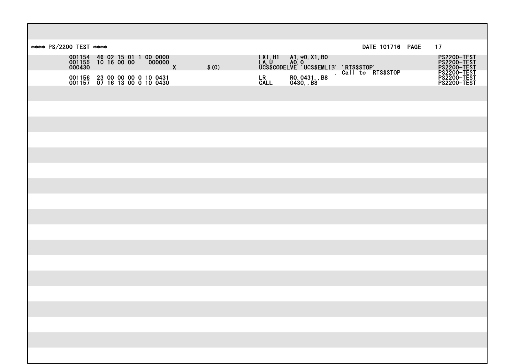| **** PS/2200 TEST **** |  |  |                                                                        |       |                   |                              | DATE 101716 PAGE                                                                                                  |  | 17                                                                                                 |
|------------------------|--|--|------------------------------------------------------------------------|-------|-------------------|------------------------------|-------------------------------------------------------------------------------------------------------------------|--|----------------------------------------------------------------------------------------------------|
|                        |  |  | 001154 46 02 15 01 1 00 0000<br>001155 10 16 00 00 0000000<br>000430 x | \$(0) |                   |                              | LXI,H1 A1,*0,X1,B0<br>LA,U A0,0<br>UCS\$CODELVE UCS\$EMLIB' 'RTS\$STOP'<br>Call to RTS\$STOP<br>Call to RTS\$STOP |  | <b>PS2200-TEST<br/>PS2200-TEST<br/>PS2200-TEST<br/>PS2200-TEST<br/>PS2200-TEST<br/>PS2200-TEST</b> |
|                        |  |  | 001156 23 00 00 00 0 10 0431<br>001157 07 16 13 00 0 10 0430           |       | <b>LR</b><br>CALL | R0, 0431, , B8<br>0430, , B8 |                                                                                                                   |  |                                                                                                    |
|                        |  |  |                                                                        |       |                   |                              |                                                                                                                   |  |                                                                                                    |
|                        |  |  |                                                                        |       |                   |                              |                                                                                                                   |  |                                                                                                    |
|                        |  |  |                                                                        |       |                   |                              |                                                                                                                   |  |                                                                                                    |
|                        |  |  |                                                                        |       |                   |                              |                                                                                                                   |  |                                                                                                    |
|                        |  |  |                                                                        |       |                   |                              |                                                                                                                   |  |                                                                                                    |
|                        |  |  |                                                                        |       |                   |                              |                                                                                                                   |  |                                                                                                    |
|                        |  |  |                                                                        |       |                   |                              |                                                                                                                   |  |                                                                                                    |
|                        |  |  |                                                                        |       |                   |                              |                                                                                                                   |  |                                                                                                    |
|                        |  |  |                                                                        |       |                   |                              |                                                                                                                   |  |                                                                                                    |
|                        |  |  |                                                                        |       |                   |                              |                                                                                                                   |  |                                                                                                    |
|                        |  |  |                                                                        |       |                   |                              |                                                                                                                   |  |                                                                                                    |
|                        |  |  |                                                                        |       |                   |                              |                                                                                                                   |  |                                                                                                    |
|                        |  |  |                                                                        |       |                   |                              |                                                                                                                   |  |                                                                                                    |
|                        |  |  |                                                                        |       |                   |                              |                                                                                                                   |  |                                                                                                    |
|                        |  |  |                                                                        |       |                   |                              |                                                                                                                   |  |                                                                                                    |
|                        |  |  |                                                                        |       |                   |                              |                                                                                                                   |  |                                                                                                    |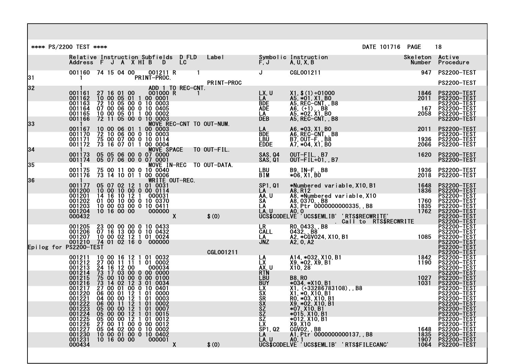|    | **** PS/2200 TEST **** |                                                                                                                                                                                                                                                                                              |             |                                |    |                                                                                                                                     |                                         |                                                                        |                                                                |                                                                                                                                                       | DATE 101716 PAGE |                                  | 18                                                                                                                                                                       |  |
|----|------------------------|----------------------------------------------------------------------------------------------------------------------------------------------------------------------------------------------------------------------------------------------------------------------------------------------|-------------|--------------------------------|----|-------------------------------------------------------------------------------------------------------------------------------------|-----------------------------------------|------------------------------------------------------------------------|----------------------------------------------------------------|-------------------------------------------------------------------------------------------------------------------------------------------------------|------------------|----------------------------------|--------------------------------------------------------------------------------------------------------------------------------------------------------------------------|--|
|    |                        |                                                                                                                                                                                                                                                                                              |             |                                |    |                                                                                                                                     |                                         | Relative Instruction Subfields DFLD Label<br>Address F J A X HI B D LC |                                                                |                                                                                                                                                       |                  | Skeleton Active<br><b>Number</b> | Procedure                                                                                                                                                                |  |
| 31 |                        | 001160 74 15 04 00 001211 R<br>PRINT-PROC.                                                                                                                                                                                                                                                   |             |                                |    |                                                                                                                                     |                                         |                                                                        | $J$ and $J$ and $J$                                            | CGL001211                                                                                                                                             |                  | 947                              | <b>PS2200-TEST</b>                                                                                                                                                       |  |
| 32 |                        |                                                                                                                                                                                                                                                                                              |             |                                |    |                                                                                                                                     |                                         | PRINT-PROC                                                             |                                                                |                                                                                                                                                       |                  |                                  | <b>PS2200-TEST</b>                                                                                                                                                       |  |
|    |                        | $\begin{array}{cccc} 001161 & 27 & 16 & 01 & 00 & 001100 \\ 001162 & 10 & 00 & 05 & 01 & 1 & 00 & 0001 \\ 001163 & 72 & 10 & 05 & 00 & 0 & 10 & 0003 \\ 001164 & 07 & 00 & 06 & 00 & 0 & 10 & 0405 \\ 001165 & 10 & 00 & 05 & 01 & 1 & 00 & 0002 \\ 001166 & 72 & 11 & 05 & 00 & 0 & 10 & 0$ |             |                                |    |                                                                                                                                     | ADD 1 TO REC-CNT.<br>_001000 R   1      |                                                                        | LX, U<br>LA                                                    | X1, \$ (1) +01000<br>A5, *01, X1, B0<br>A5, REC-CNT, , B8<br>A6, (+1) , , B8<br>A5, *02, X1, B0<br>A5, REC-CNT, , B8                                  |                  | 1846<br>2011                     | <b>PS2200-TEST</b><br><b>PS2200-TEST</b>                                                                                                                                 |  |
|    |                        |                                                                                                                                                                                                                                                                                              |             |                                |    |                                                                                                                                     |                                         |                                                                        | <b>BDE</b><br><b>ADE</b><br>LA_                                |                                                                                                                                                       |                  | 167<br>2058                      | <b>PS2200-TEST</b><br><b>PS2200-TEST</b><br><b>PS2200-TEST</b>                                                                                                           |  |
| 33 |                        |                                                                                                                                                                                                                                                                                              |             |                                |    |                                                                                                                                     |                                         | MOVE REC-CNT TO OUT-NUM.                                               | <b>DEB</b>                                                     |                                                                                                                                                       |                  |                                  | <b>PS2200-TEST</b>                                                                                                                                                       |  |
|    |                        |                                                                                                                                                                                                                                                                                              |             |                                |    |                                                                                                                                     |                                         |                                                                        | LA<br>BDE                                                      | A6, *03, X1, B0<br>A6, REC-CNT, , B8                                                                                                                  |                  | 2011                             | <b>PS2200-TEST</b><br><b>PS2200-TEST</b>                                                                                                                                 |  |
|    |                        | $\begin{array}{cccc} 001167 & 10 & 00 & 06 & 01 & 1 & 00 & 0003 \\ 001170 & 72 & 10 & 06 & 00 & 0 & 10 & 0003 \\ 001171 & 75 & 00 & 07 & 00 & 0 & 10 & 0114 \\ 001172 & 73 & 16 & 07 & 01 & 1 & 00 & 0004 \\ \end{array}$                                                                    |             |                                |    |                                                                                                                                     |                                         |                                                                        | <b>LBU</b><br><b>EDDE</b>                                      | $\overline{B2}$ , $\overline{OUT-F}$ , $\overline{B8}$<br>$A7, *04, X1, BO$                                                                           |                  | 1936<br>2066                     | PS2200-TEST<br><b>PS2200-TEST</b>                                                                                                                                        |  |
| 34 |                        |                                                                                                                                                                                                                                                                                              |             |                                |    |                                                                                                                                     |                                         |                                                                        | SAS, 04<br>SAS, 01                                             | OUT-FIL, B7<br>$OUT-FIL+01, B7$                                                                                                                       |                  | 1620                             | <b>PS2200-TEST</b><br><b>PS2200-TEST</b>                                                                                                                                 |  |
| 35 |                        | $\mathbf{1}$<br>001175 75 00 11 00 0 10 0040<br>001176 73 14 10 01 1 00 0006                                                                                                                                                                                                                 |             |                                |    |                                                                                                                                     |                                         | MOVE IN-REC TO OUT-DATA.                                               | <b>LBU</b><br><b>BIM</b>                                       | B9, IN-F, B8<br>*06, X1, B0                                                                                                                           |                  | 2018                             | <b>PS2200-TEST</b>                                                                                                                                                       |  |
| 36 |                        | 001177                                                                                                                                                                                                                                                                                       |             |                                |    |                                                                                                                                     | WRITE OUT-REC.<br>05 07 02 12 1 01 0031 |                                                                        | SP1, 01                                                        | *Numbered variable, X10, B1                                                                                                                           |                  |                                  | <b>PS2200-TEST</b>                                                                                                                                                       |  |
|    |                        | 001200<br>001201                                                                                                                                                                                                                                                                             |             |                                |    | 10 00 10 00 0 00 0114<br>14 16 10 12 1 000031                                                                                       |                                         |                                                                        | LA 1<br>AA, U                                                  | A8, R12                                                                                                                                               |                  | 1648                             | 1836 PS2200-TEST                                                                                                                                                         |  |
|    |                        | 001202<br>001203                                                                                                                                                                                                                                                                             |             |                                |    | $\begin{array}{c} 01 & 00 & 10 & 00 & 0 & 10 & 0370 \\ 10 & 00 & 03 & 00 & 0 & 10 & 0411 \\ 10 & 16 & 00 & 00 & 000000 \end{array}$ |                                         |                                                                        | SA<br>LA                                                       | A8, RTZ<br>A8, *Numbered variable, X10<br>A3, 0370, B8<br>A3, Ptr 0000000000335, B8                                                                   |                  | 1760<br>1 <u>8</u> 35            | <b>PS2200-TEST</b><br>PS2200-TEST<br>PS2200-TEST<br>PS2200-TEST<br>PS2200-TEST<br>PS2200-TEST<br>PS2200-TEST<br>PS2200-TEST<br>PS2200-TEST<br>PS2200-TEST<br>PS2200-TEST |  |
|    |                        | 001204<br>000432                                                                                                                                                                                                                                                                             |             |                                |    | 000000                                                                                                                              | $\mathbf{X}$                            |                                                                        |                                                                |                                                                                                                                                       |                  | 1762                             |                                                                                                                                                                          |  |
|    |                        |                                                                                                                                                                                                                                                                                              |             |                                |    |                                                                                                                                     |                                         | \$(0)                                                                  |                                                                |                                                                                                                                                       |                  |                                  |                                                                                                                                                                          |  |
|    |                        | 001205<br>001206                                                                                                                                                                                                                                                                             |             |                                |    | 23 00 00 00 0 10 0433<br>07 16 13 00 0 10 0432                                                                                      |                                         |                                                                        |                                                                | LAU AO FLE OUDDOUGOUSSUS, DU<br>UCS\$CODELVE UCS\$EMLIB' RTS\$RECWRITE'<br>LR RO 0433, B8<br>CALL 0432, B8<br>LA A2,*CGV024, X10, B1<br>JNZ A2, 0, A2 |                  |                                  |                                                                                                                                                                          |  |
|    |                        | 001207 10 00 02 12 1 01 0024                                                                                                                                                                                                                                                                 |             |                                |    |                                                                                                                                     |                                         |                                                                        |                                                                |                                                                                                                                                       |                  | 1085                             |                                                                                                                                                                          |  |
|    | Epilog for PS2200-TEST |                                                                                                                                                                                                                                                                                              |             |                                |    |                                                                                                                                     |                                         | CGL001211                                                              |                                                                |                                                                                                                                                       |                  |                                  | <b>PS2200-TEST</b><br><u>PSZZ00-TEST</u>                                                                                                                                 |  |
|    |                        | 001211 10 00 16 12 1 01 0032<br>001212 27 00 11 11 1 01 0002<br>001213 24 16 12 00 000034<br>001214 73 17 03 00 0 00 0000<br>001215 75 00 10 00 0 00 0100<br>001216 73 14 02 12 3 01 0034<br>001217 27 00 01 00 0 10 0401<br>001220 06 00 01 12 1 0                                          |             |                                |    |                                                                                                                                     |                                         |                                                                        | <b>LA<br/>LX<br/>AX, U<br/>LBUY<br/>LSX, SX<br/>SXX</b><br>SXX | $A14, *032, X10, B1$<br>X9, *02, X9, B1<br>X10, 28                                                                                                    |                  | 1842<br>1190                     | PS2200-TEST<br>PS2200-TEST<br><b>PS2200-TEST</b>                                                                                                                         |  |
|    |                        |                                                                                                                                                                                                                                                                                              |             |                                |    |                                                                                                                                     |                                         |                                                                        |                                                                | <b>B8, RO</b>                                                                                                                                         |                  | 1027<br>1031                     | <b>PS2200-TEST</b>                                                                                                                                                       |  |
|    |                        |                                                                                                                                                                                                                                                                                              |             |                                |    |                                                                                                                                     |                                         |                                                                        |                                                                |                                                                                                                                                       |                  |                                  | PS2200-TEST<br>PS2200-TEST<br>PS2200-TEST                                                                                                                                |  |
|    |                        |                                                                                                                                                                                                                                                                                              |             |                                |    |                                                                                                                                     |                                         |                                                                        |                                                                | ¥034, ∗X10, B1<br>X1, (+33286783108) , , B8<br>X1, ∗0, X10, B1<br>R0, ∗03, X10, B1                                                                    |                  |                                  | PS2200-TEST<br><b>PS2200-TEST</b>                                                                                                                                        |  |
|    |                        | 001222 06 00 11 12 1 01 0002<br>001223<br>001224                                                                                                                                                                                                                                             |             | 05 00 00 12 1<br>05 00 00 12 1 |    | 01 0007                                                                                                                             |                                         |                                                                        | <b>SX</b>                                                      | X9, *02, X10, B1<br>$*07, \overline{X10}, \overline{B1}$<br>$*015, \overline{X10}, \overline{B1}$                                                     |                  |                                  | <b>PS2200-TEST</b><br>PS2200-TEST                                                                                                                                        |  |
|    |                        | 001225<br>001226                                                                                                                                                                                                                                                                             |             |                                | 01 | 0015<br>05 00 00 12 1 01 0012<br>27 00 11 00 0 00 0012                                                                              |                                         |                                                                        | SZ<br>SZ<br>SZ<br>LX<br>SP1, Q2                                | *012, X10, B1<br>X9, X10                                                                                                                              |                  |                                  | PS2200-TEST<br><b>PS2200-TEST</b>                                                                                                                                        |  |
|    |                        |                                                                                                                                                                                                                                                                                              |             |                                |    | 05 04 02 00 0 10 0002<br>10 00 01 00 0 10 0402                                                                                      |                                         |                                                                        |                                                                | <b>CGVO2, B8</b>                                                                                                                                      |                  | 1648                             | PS2200-TEST<br>PS2200-TEST                                                                                                                                               |  |
|    |                        | 001227<br>001230<br>001231<br>000434                                                                                                                                                                                                                                                         | 10 16 00 00 |                                |    | 000001                                                                                                                              | X                                       | \$(0)                                                                  | LA<br>LA, U                                                    | A1, Ptr 0000000000137, , B8<br>LA, U AO, 1<br>UCS\$CODELVE UCS\$EMLIB' 'RTS\$FILECANC'                                                                |                  | 1835<br>1907<br>1064             | <b>PS2200-TEST</b><br><b>PS2200-TEST</b><br><b>PS2200-TEST</b>                                                                                                           |  |
|    |                        |                                                                                                                                                                                                                                                                                              |             |                                |    |                                                                                                                                     |                                         |                                                                        |                                                                |                                                                                                                                                       |                  |                                  |                                                                                                                                                                          |  |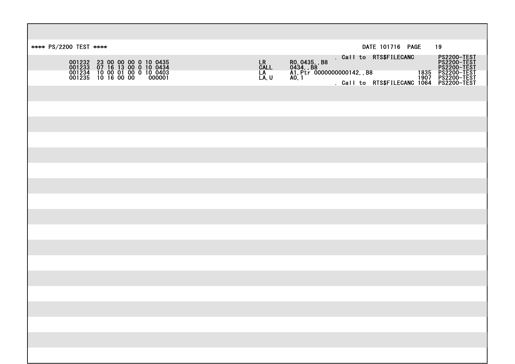| **** PS/2200 TEST ****                                                                                                    | DATE 101716 PAGE<br>19                                                                                                                                                                                              |
|---------------------------------------------------------------------------------------------------------------------------|---------------------------------------------------------------------------------------------------------------------------------------------------------------------------------------------------------------------|
| 001232 23 00 00 00 0 10 0435<br>001233 07 16 13 00 0 10 0434<br>001234 10 00 01 00 0 10 0403<br>001235 10 16 00 00 000001 | . Call to RTS\$FILECANC<br>Call to RTS\$FILECANC PS2200-TEST<br>PS2200-TEST PS2200-TEST<br>PS2200-TEST PS2200-TEST<br>PS2200-TEST 1907 PS2200-TEST<br>Call to RTS\$FILECANC 1064 PS2200-TEST<br>LR<br>CALL<br>LA, U |
|                                                                                                                           |                                                                                                                                                                                                                     |
|                                                                                                                           |                                                                                                                                                                                                                     |
|                                                                                                                           |                                                                                                                                                                                                                     |
|                                                                                                                           |                                                                                                                                                                                                                     |
|                                                                                                                           |                                                                                                                                                                                                                     |
|                                                                                                                           |                                                                                                                                                                                                                     |
|                                                                                                                           |                                                                                                                                                                                                                     |
|                                                                                                                           |                                                                                                                                                                                                                     |
|                                                                                                                           |                                                                                                                                                                                                                     |
|                                                                                                                           |                                                                                                                                                                                                                     |
|                                                                                                                           |                                                                                                                                                                                                                     |
|                                                                                                                           |                                                                                                                                                                                                                     |
|                                                                                                                           |                                                                                                                                                                                                                     |
|                                                                                                                           |                                                                                                                                                                                                                     |
|                                                                                                                           |                                                                                                                                                                                                                     |
|                                                                                                                           |                                                                                                                                                                                                                     |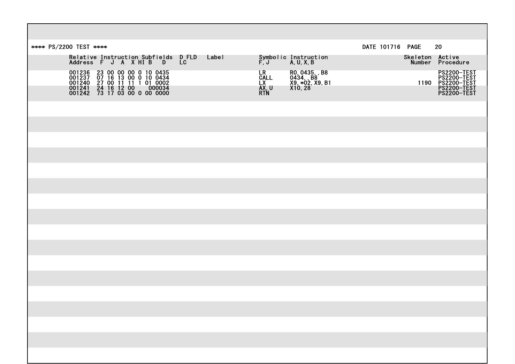| **** PS/2200 TEST ****                                                                                                                                    |       |                                                   |                                                            | DATE 101716 PAGE | 20                                                                      |
|-----------------------------------------------------------------------------------------------------------------------------------------------------------|-------|---------------------------------------------------|------------------------------------------------------------|------------------|-------------------------------------------------------------------------|
| Relative Instruction Subfields DFLD<br>Address F J A X HI B D LC                                                                                          | Label |                                                   | Symbolic Instruction<br>F,J A,U,X,B                        |                  | Skeleton Active<br>Number Procedure                                     |
| 001236 23 00 00 00 0 10 0435<br>001237 07 16 13 00 0 10 0434<br>001240 27 00 11 11 1 01 0002<br>001241 24 16 12 00 000034<br>001242 73 17 03 00 0 00 0000 |       | LR <sub>.</sub><br><b>CALL</b><br>LX<br>AX<br>RTN | R0, 0435, , B8<br>0434, , B8<br>X9, *02, X9, B1<br>X10, 28 |                  | PS2200-TEST<br>PS2200-TEST<br>PS2200-TEST<br>PS2200-TEST<br>PS2200-TEST |
|                                                                                                                                                           |       |                                                   |                                                            |                  |                                                                         |
|                                                                                                                                                           |       |                                                   |                                                            |                  |                                                                         |
|                                                                                                                                                           |       |                                                   |                                                            |                  |                                                                         |
|                                                                                                                                                           |       |                                                   |                                                            |                  |                                                                         |
|                                                                                                                                                           |       |                                                   |                                                            |                  |                                                                         |
|                                                                                                                                                           |       |                                                   |                                                            |                  |                                                                         |
|                                                                                                                                                           |       |                                                   |                                                            |                  |                                                                         |
|                                                                                                                                                           |       |                                                   |                                                            |                  |                                                                         |
|                                                                                                                                                           |       |                                                   |                                                            |                  |                                                                         |
|                                                                                                                                                           |       |                                                   |                                                            |                  |                                                                         |
|                                                                                                                                                           |       |                                                   |                                                            |                  |                                                                         |
|                                                                                                                                                           |       |                                                   |                                                            |                  |                                                                         |
|                                                                                                                                                           |       |                                                   |                                                            |                  |                                                                         |
|                                                                                                                                                           |       |                                                   |                                                            |                  |                                                                         |
|                                                                                                                                                           |       |                                                   |                                                            |                  |                                                                         |
|                                                                                                                                                           |       |                                                   |                                                            |                  |                                                                         |
|                                                                                                                                                           |       |                                                   |                                                            |                  |                                                                         |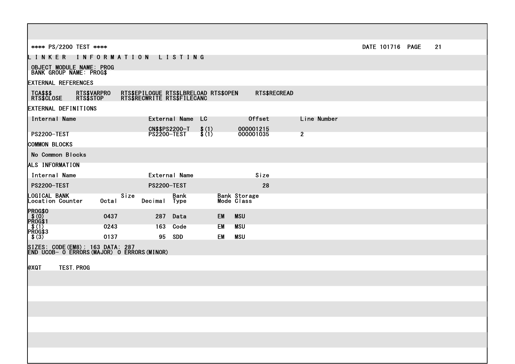| **** PS/2200 TEST ****                                                        |                                                                      |                                   | DATE 101716 PAGE | 21 |
|-------------------------------------------------------------------------------|----------------------------------------------------------------------|-----------------------------------|------------------|----|
| LINKER INFORMATION LISTING                                                    |                                                                      |                                   |                  |    |
| <b>OBJECT MODULE NAME: PROG</b><br><b>BANK GROUP NAME: PROGS</b>              |                                                                      |                                   |                  |    |
| <b>EXTERNAL REFERENCES</b>                                                    |                                                                      |                                   |                  |    |
| TCA\$\$\$<br>RTS\$CLOSE<br>RTS\$VARPRO<br>RTS\$STOP                           | RTS\$EPILOGUE RTS\$LBRELOAD RTS\$OPEN<br>RTS\$RECWRITE RTS\$FILECANC | RTS\$RECREAD                      |                  |    |
| <b>EXTERNAL DEFINITIONS</b>                                                   |                                                                      |                                   |                  |    |
| Internal Name                                                                 | External Name LC                                                     | <b>Offset</b>                     | Line Number      |    |
| <b>PS2200-TEST</b>                                                            | <b>CN\$\$PS2200-T</b><br>$\frac{1}{2}$ $\binom{1}{1}$<br>PS2200-TEST | 000001215<br>000001035            | 2 <sup>7</sup>   |    |
| <b>COMMON BLOCKS</b>                                                          |                                                                      |                                   |                  |    |
| No Common Blocks                                                              |                                                                      |                                   |                  |    |
| ALS INFORMATION                                                               |                                                                      |                                   |                  |    |
| Internal Name                                                                 | <b>External Name</b>                                                 | Size                              |                  |    |
| <b>PS2200-TEST</b>                                                            | <b>PS2200-TEST</b>                                                   | 28                                |                  |    |
| LOGICAL BANK<br>Size<br>Location Counter<br><b>Octal</b>                      | <b>Bank</b><br>Decimal Type                                          | <b>Bank Storage</b><br>Mode Class |                  |    |
| <b>PROG\$0</b><br>$PS(0)$<br>PROG\$1<br>0437                                  | 287<br>Data                                                          | <b>EM</b><br><b>MSU</b>           |                  |    |
| $R^{(1)}_{RQG$3}$<br>0243                                                     | 163 Code                                                             | EM<br><b>MSU</b>                  |                  |    |
| 0137<br>\$ (3)                                                                | 95 SDD                                                               | EM<br><b>MSU</b>                  |                  |    |
| SIZES: CODE(EM8): 163 DATA: 287<br> END UCOB— O ERRORS(MAJOR) O ERRORS(MINOR) |                                                                      |                                   |                  |    |
| <b>TEST. PROG</b><br><b>@XQT</b>                                              |                                                                      |                                   |                  |    |
|                                                                               |                                                                      |                                   |                  |    |
|                                                                               |                                                                      |                                   |                  |    |
|                                                                               |                                                                      |                                   |                  |    |
|                                                                               |                                                                      |                                   |                  |    |
|                                                                               |                                                                      |                                   |                  |    |
|                                                                               |                                                                      |                                   |                  |    |
|                                                                               |                                                                      |                                   |                  |    |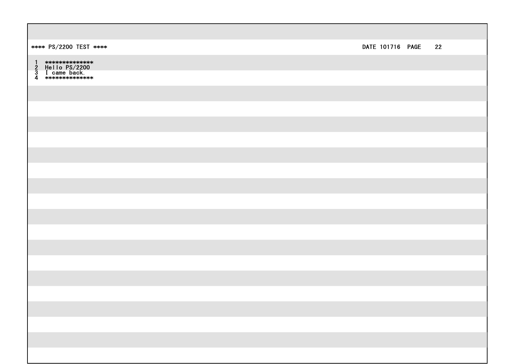| **** PS/2200 TEST **** | DATE 101716 PAGE 22 |  |
|------------------------|---------------------|--|
|                        |                     |  |
|                        |                     |  |
|                        |                     |  |
|                        |                     |  |
|                        |                     |  |
|                        |                     |  |
|                        |                     |  |
|                        |                     |  |
|                        |                     |  |
|                        |                     |  |
|                        |                     |  |
|                        |                     |  |
|                        |                     |  |
|                        |                     |  |
|                        |                     |  |
|                        |                     |  |
|                        |                     |  |
|                        |                     |  |
|                        |                     |  |
|                        |                     |  |
|                        |                     |  |